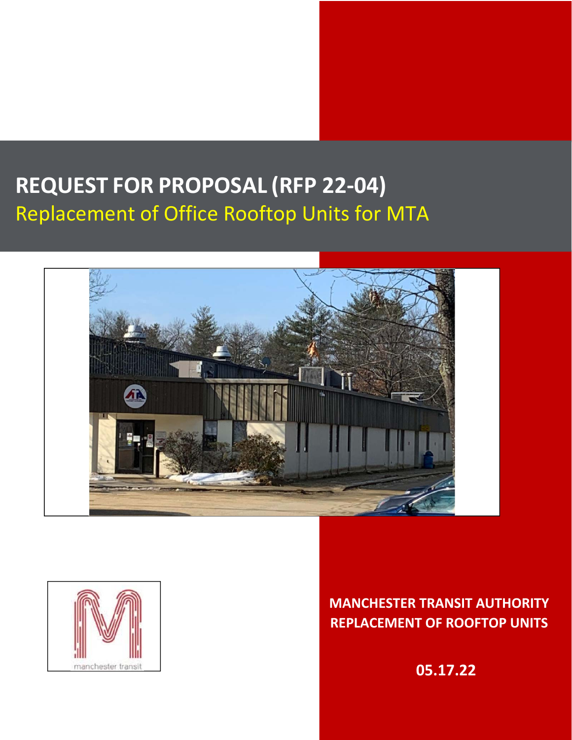# **REQUEST FOR PROPOSAL (RFP 22‐04)** Replacement of Office Rooftop Units for MTA





**MANCHESTER TRANSIT AUTHORITY REPLACEMENT OF ROOFTOP UNITS** 

**05.17.22**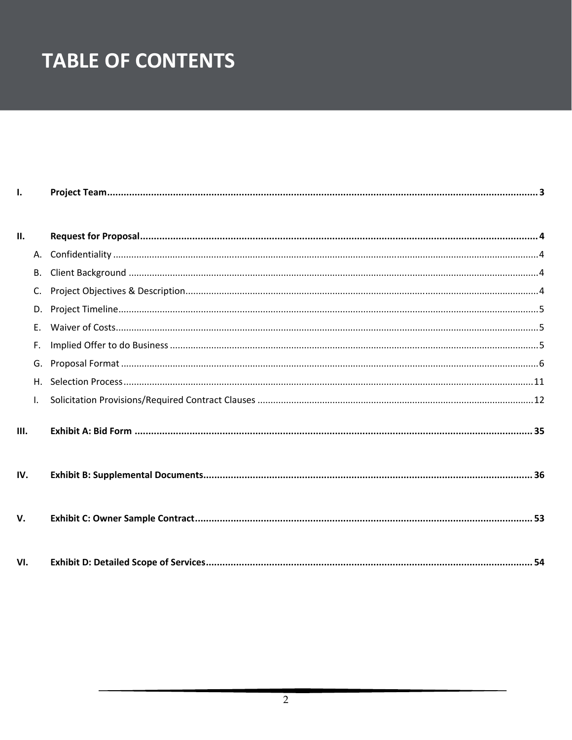### **TABLE OF CONTENTS**

| $\mathbf{I}$ . |              |  |
|----------------|--------------|--|
|                |              |  |
| II.            |              |  |
|                |              |  |
|                | <b>B.</b>    |  |
|                | C.           |  |
|                | D.           |  |
|                | $F_{\perp}$  |  |
|                | F.           |  |
|                | G.           |  |
|                | H.           |  |
|                | $\mathbf{L}$ |  |
| III.           |              |  |
| IV.            |              |  |
| V.             |              |  |
| VI.            |              |  |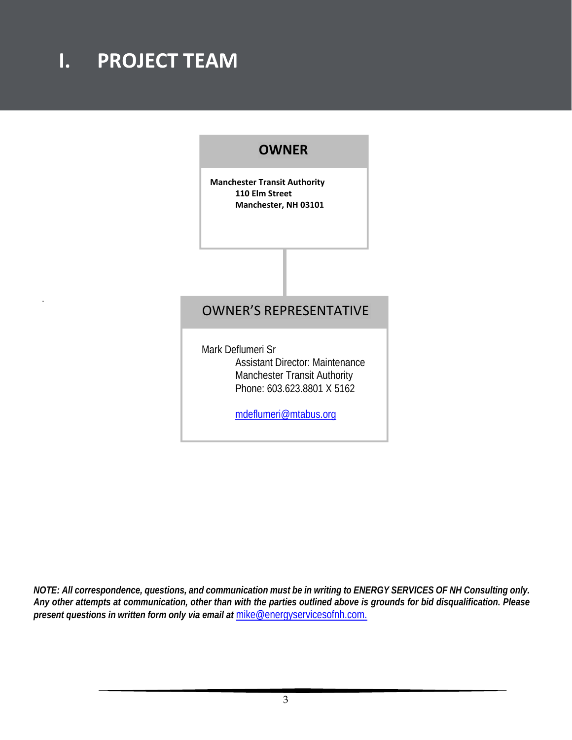### **I. PROJECT TEAM**

.

#### **OWNER**

 **Manchester Transit Authority 110 Elm Street Manchester, NH 03101** 

#### OWNER'S REPRESENTATIVE

 Mark Deflumeri Sr Assistant Director: Maintenance Manchester Transit Authority Phone: 603.623.8801 X 5162

mdeflumeri@mtabus.org

*NOTE: All correspondence, questions, and communication must be in writing to ENERGY SERVICES OF NH Consulting only. Any other attempts at communication, other than with the parties outlined above is grounds for bid disqualification. Please present questions in written form only via email at* mike@energyservicesofnh.com.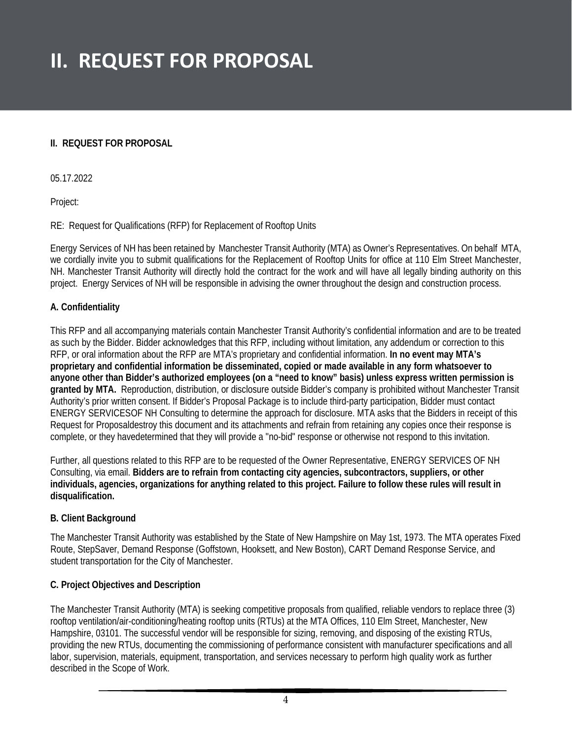#### **II. REQUEST FOR PROPOSAL**

05.17.2022

Project:

RE: Request for Qualifications (RFP) for Replacement of Rooftop Units

Energy Services of NH has been retained by Manchester Transit Authority (MTA) as Owner's Representatives. On behalf MTA, we cordially invite you to submit qualifications for the Replacement of Rooftop Units for office at 110 Elm Street Manchester, NH. Manchester Transit Authority will directly hold the contract for the work and will have all legally binding authority on this project. Energy Services of NH will be responsible in advising the owner throughout the design and construction process.

#### **A. Confidentiality**

This RFP and all accompanying materials contain Manchester Transit Authority's confidential information and are to be treated as such by the Bidder. Bidder acknowledges that this RFP, including without limitation, any addendum or correction to this RFP, or oral information about the RFP are MTA's proprietary and confidential information. **In no event may MTA's proprietary and confidential information be disseminated, copied or made available in any form whatsoever to anyone other than Bidder's authorized employees (on a "need to know" basis) unless express written permission is granted by MTA.** Reproduction, distribution, or disclosure outside Bidder's company is prohibited without Manchester Transit Authority's prior written consent. If Bidder's Proposal Package is to include third-party participation, Bidder must contact ENERGY SERVICES OF NH Consulting to determine the approach for disclosure. MTA asks that the Bidders in receipt of this Request for Proposal destroy this document and its attachments and refrain from retaining any copies once their response is complete, or they have determined that they will provide a ''no-bid" response or otherwise not respond to this invitation.

Further, all questions related to this RFP are to be requested of the Owner Representative, ENERGY SERVICES OF NH Consulting, via email. **Bidders are to refrain from contacting city agencies, subcontractors, suppliers, or other individuals, agencies, organizations for anything related to this project. Failure to follow these rules will result in disqualification.** 

#### **B. Client Background**

The Manchester Transit Authority was established by the State of New Hampshire on May 1st, 1973. The MTA operates Fixed Route, StepSaver, Demand Response (Goffstown, Hooksett, and New Boston), CART Demand Response Service, and student transportation for the City of Manchester.

#### **C. Project Objectives and Description**

The Manchester Transit Authority (MTA) is seeking competitive proposals from qualified, reliable vendors to replace three (3) rooftop ventilation/air-conditioning/heating rooftop units (RTUs) at the MTA Offices, 110 Elm Street, Manchester, New Hampshire, 03101. The successful vendor will be responsible for sizing, removing, and disposing of the existing RTUs, providing the new RTUs, documenting the commissioning of performance consistent with manufacturer specifications and all labor, supervision, materials, equipment, transportation, and services necessary to perform high quality work as further described in the Scope of Work.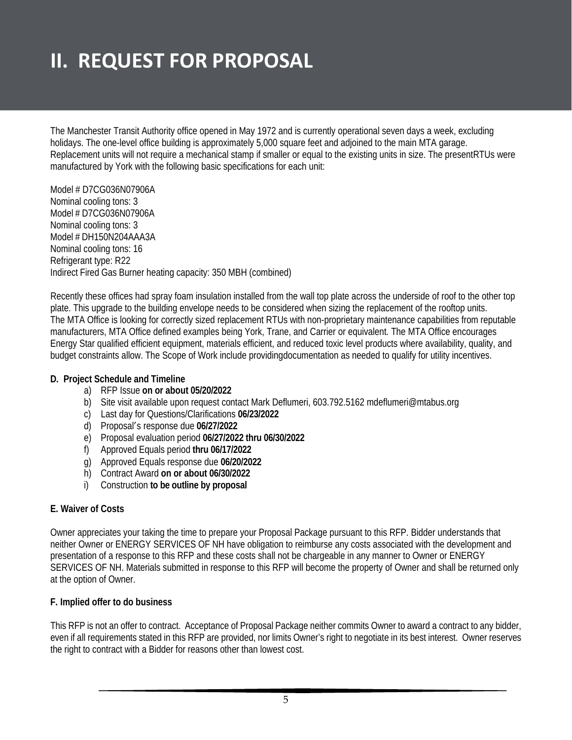The Manchester Transit Authority office opened in May 1972 and is currently operational seven days a week, excluding holidays. The one-level office building is approximately 5,000 square feet and adjoined to the main MTA garage. Replacement units will not require a mechanical stamp if smaller or equal to the existing units in size. The present RTUs were manufactured by York with the following basic specifications for each unit:

Model # D7CG036N07906A Nominal cooling tons: 3 Model # D7CG036N07906A Nominal cooling tons: 3 Model # DH150N204AAA3A Nominal cooling tons: 16 Refrigerant type: R22 Indirect Fired Gas Burner heating capacity: 350 MBH (combined)

Recently these offices had spray foam insulation installed from the wall top plate across the underside of roof to the other top plate. This upgrade to the building envelope needs to be considered when sizing the replacement of the rooftop units. The MTA Office is looking for correctly sized replacement RTUs with non-proprietary maintenance capabilities from reputable manufacturers, MTA Office defined examples being York, Trane, and Carrier or equivalent. The MTA Office encourages Energy Star qualified efficient equipment, materials efficient, and reduced toxic level products where availability, quality, and budget constraints allow. The Scope of Work include providing documentation as needed to qualify for utility incentives.

#### **D. Project Schedule and Timeline**

- a) RFP Issue **on or about 05/20/2022**
- b) Site visit available upon request contact Mark Deflumeri, 603.792.5162 mdeflumeri@mtabus.org
- c) Last day for Questions/Clarifications **06/23/2022**
- d) Proposal's response due **06/27/2022**
- e) Proposal evaluation period **06/27/2022 thru 06/30/2022**
- f) Approved Equals period **thru 06/17/2022**
- g) Approved Equals response due **06/20/2022**
- h) Contract Award **on or about 06/30/2022**
- i) Construction **to be outline by proposal**

#### **E. Waiver of Costs**

Owner appreciates your taking the time to prepare your Proposal Package pursuant to this RFP. Bidder understands that neither Owner or ENERGY SERVICES OF NH have obligation to reimburse any costs associated with the development and presentation of a response to this RFP and these costs shall not be chargeable in any manner to Owner or ENERGY SERVICES OF NH. Materials submitted in response to this RFP will become the property of Owner and shall be returned only at the option of Owner.

#### **F. Implied offer to do business**

This RFP is not an offer to contract. Acceptance of Proposal Package neither commits Owner to award a contract to any bidder, even if all requirements stated in this RFP are provided, nor limits Owner's right to negotiate in its best interest. Owner reserves the right to contract with a Bidder for reasons other than lowest cost.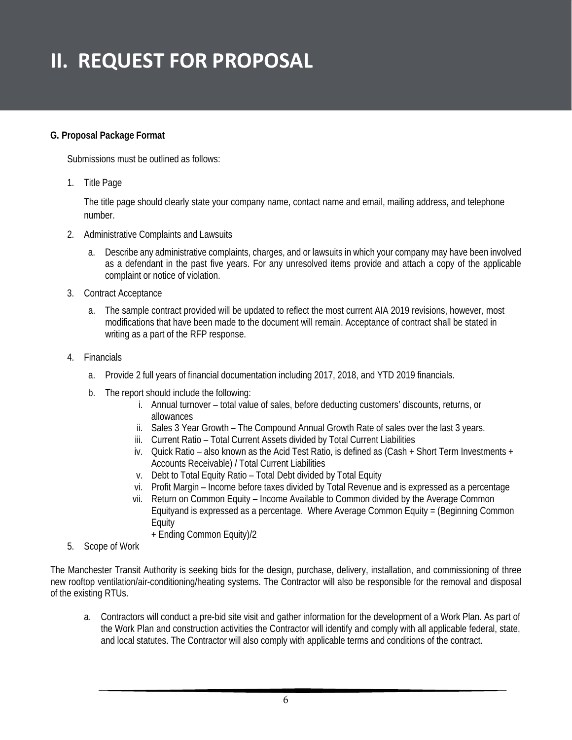#### **G. Proposal Package Format**

Submissions must be outlined as follows:

1. Title Page

The title page should clearly state your company name, contact name and email, mailing address, and telephone number.

- 2. Administrative Complaints and Lawsuits
	- a. Describe any administrative complaints, charges, and or lawsuits in which your company may have been involved as a defendant in the past five years. For any unresolved items provide and attach a copy of the applicable complaint or notice of violation.
- 3. Contract Acceptance
	- a. The sample contract provided will be updated to reflect the most current AIA 2019 revisions, however, most modifications that have been made to the document will remain. Acceptance of contract shall be stated in writing as a part of the RFP response.
- 4. Financials
	- a. Provide 2 full years of financial documentation including 2017, 2018, and YTD 2019 financials.
	- b. The report should include the following:
		- i. Annual turnover total value of sales, before deducting customers' discounts, returns, or allowances
		- ii. Sales 3 Year Growth The Compound Annual Growth Rate of sales over the last 3 years.
		- iii. Current Ratio Total Current Assets divided by Total Current Liabilities
		- iv. Quick Ratio also known as the Acid Test Ratio, is defined as (Cash + Short Term Investments + Accounts Receivable) / Total Current Liabilities
		- v. Debt to Total Equity Ratio Total Debt divided by Total Equity
		- vi. Profit Margin Income before taxes divided by Total Revenue and is expressed as a percentage
		- vii. Return on Common Equity Income Available to Common divided by the Average Common Equity and is expressed as a percentage. Where Average Common Equity = (Beginning Common **Equity** 
			- + Ending Common Equity)/2
- 5. Scope of Work

The Manchester Transit Authority is seeking bids for the design, purchase, delivery, installation, and commissioning of three new rooftop ventilation/air-conditioning/heating systems. The Contractor will also be responsible for the removal and disposal of the existing RTUs.

a. Contractors will conduct a pre-bid site visit and gather information for the development of a Work Plan. As part of the Work Plan and construction activities the Contractor will identify and comply with all applicable federal, state, and local statutes. The Contractor will also comply with applicable terms and conditions of the contract.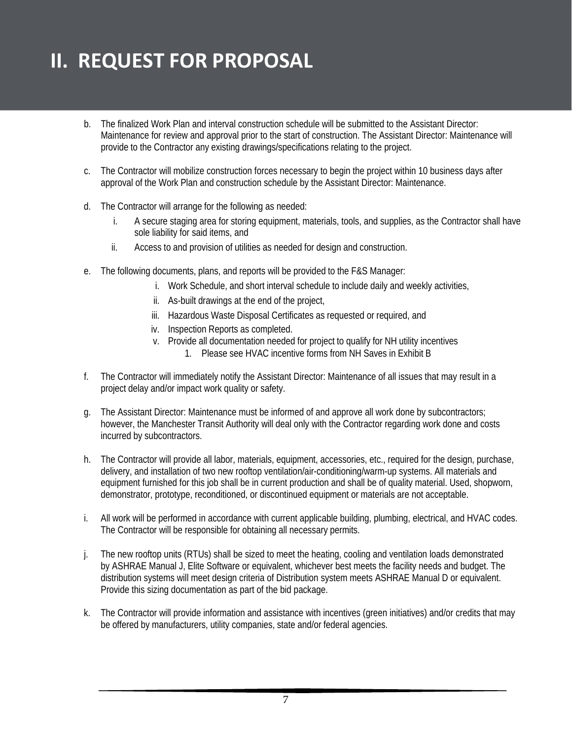- b. The finalized Work Plan and interval construction schedule will be submitted to the Assistant Director: Maintenance for review and approval prior to the start of construction. The Assistant Director: Maintenance will provide to the Contractor any existing drawings/specifications relating to the project.
- c. The Contractor will mobilize construction forces necessary to begin the project within 10 business days after approval of the Work Plan and construction schedule by the Assistant Director: Maintenance.
- d. The Contractor will arrange for the following as needed:
	- i. A secure staging area for storing equipment, materials, tools, and supplies, as the Contractor shall have sole liability for said items, and
	- ii. Access to and provision of utilities as needed for design and construction.
- e. The following documents, plans, and reports will be provided to the F&S Manager:
	- i. Work Schedule, and short interval schedule to include daily and weekly activities,
	- ii. As-built drawings at the end of the project,
	- iii. Hazardous Waste Disposal Certificates as requested or required, and
	- iv. Inspection Reports as completed.
	- v. Provide all documentation needed for project to qualify for NH utility incentives
		- 1. Please see HVAC incentive forms from NH Saves in Exhibit B
- f. The Contractor will immediately notify the Assistant Director: Maintenance of all issues that may result in a project delay and/or impact work quality or safety.
- g. The Assistant Director: Maintenance must be informed of and approve all work done by subcontractors; however, the Manchester Transit Authority will deal only with the Contractor regarding work done and costs incurred by subcontractors.
- h. The Contractor will provide all labor, materials, equipment, accessories, etc., required for the design, purchase, delivery, and installation of two new rooftop ventilation/air-conditioning/warm-up systems. All materials and equipment furnished for this job shall be in current production and shall be of quality material. Used, shopworn, demonstrator, prototype, reconditioned, or discontinued equipment or materials are not acceptable.
- i. All work will be performed in accordance with current applicable building, plumbing, electrical, and HVAC codes. The Contractor will be responsible for obtaining all necessary permits.
- j. The new rooftop units (RTUs) shall be sized to meet the heating, cooling and ventilation loads demonstrated by ASHRAE Manual J, Elite Software or equivalent, whichever best meets the facility needs and budget. The distribution systems will meet design criteria of Distribution system meets ASHRAE Manual D or equivalent. Provide this sizing documentation as part of the bid package.
- k. The Contractor will provide information and assistance with incentives (green initiatives) and/or credits that may be offered by manufacturers, utility companies, state and/or federal agencies.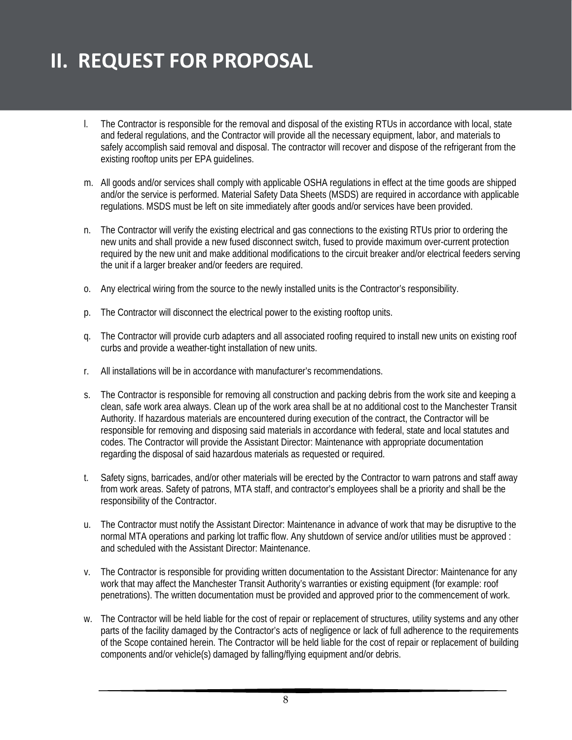- l. The Contractor is responsible for the removal and disposal of the existing RTUs in accordance with local, state and federal regulations, and the Contractor will provide all the necessary equipment, labor, and materials to safely accomplish said removal and disposal. The contractor will recover and dispose of the refrigerant from the existing rooftop units per EPA guidelines.
- m. All goods and/or services shall comply with applicable OSHA regulations in effect at the time goods are shipped and/or the service is performed. Material Safety Data Sheets (MSDS) are required in accordance with applicable regulations. MSDS must be left on site immediately after goods and/or services have been provided.
- n. The Contractor will verify the existing electrical and gas connections to the existing RTUs prior to ordering the new units and shall provide a new fused disconnect switch, fused to provide maximum over-current protection required by the new unit and make additional modifications to the circuit breaker and/or electrical feeders serving the unit if a larger breaker and/or feeders are required.
- o. Any electrical wiring from the source to the newly installed units is the Contractor's responsibility.
- p. The Contractor will disconnect the electrical power to the existing rooftop units.
- q. The Contractor will provide curb adapters and all associated roofing required to install new units on existing roof curbs and provide a weather-tight installation of new units.
- r. All installations will be in accordance with manufacturer's recommendations.
- s. The Contractor is responsible for removing all construction and packing debris from the work site and keeping a clean, safe work area always. Clean up of the work area shall be at no additional cost to the Manchester Transit Authority. If hazardous materials are encountered during execution of the contract, the Contractor will be responsible for removing and disposing said materials in accordance with federal, state and local statutes and codes. The Contractor will provide the Assistant Director: Maintenance with appropriate documentation regarding the disposal of said hazardous materials as requested or required.
- t. Safety signs, barricades, and/or other materials will be erected by the Contractor to warn patrons and staff away from work areas. Safety of patrons, MTA staff, and contractor's employees shall be a priority and shall be the responsibility of the Contractor.
- u. The Contractor must notify the Assistant Director: Maintenance in advance of work that may be disruptive to the normal MTA operations and parking lot traffic flow. Any shutdown of service and/or utilities must be approved : and scheduled with the Assistant Director: Maintenance.
- v. The Contractor is responsible for providing written documentation to the Assistant Director: Maintenance for any work that may affect the Manchester Transit Authority's warranties or existing equipment (for example: roof penetrations). The written documentation must be provided and approved prior to the commencement of work.
- w. The Contractor will be held liable for the cost of repair or replacement of structures, utility systems and any other parts of the facility damaged by the Contractor's acts of negligence or lack of full adherence to the requirements of the Scope contained herein. The Contractor will be held liable for the cost of repair or replacement of building components and/or vehicle(s) damaged by falling/flying equipment and/or debris.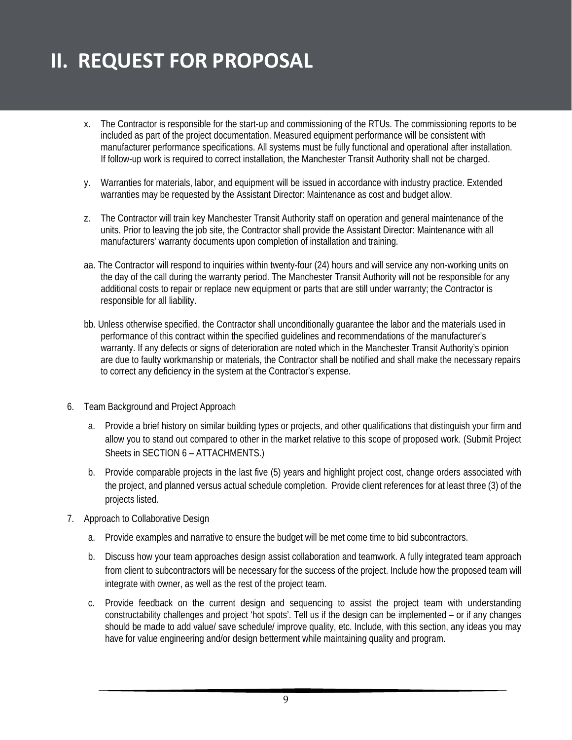- x. The Contractor is responsible for the start-up and commissioning of the RTUs. The commissioning reports to be included as part of the project documentation. Measured equipment performance will be consistent with manufacturer performance specifications. All systems must be fully functional and operational after installation. If follow-up work is required to correct installation, the Manchester Transit Authority shall not be charged.
- y. Warranties for materials, labor, and equipment will be issued in accordance with industry practice. Extended warranties may be requested by the Assistant Director: Maintenance as cost and budget allow.
- z. The Contractor will train key Manchester Transit Authority staff on operation and general maintenance of the units. Prior to leaving the job site, the Contractor shall provide the Assistant Director: Maintenance with all manufacturers' warranty documents upon completion of installation and training.
- aa. The Contractor will respond to inquiries within twenty-four (24) hours and will service any non-working units on the day of the call during the warranty period. The Manchester Transit Authority will not be responsible for any additional costs to repair or replace new equipment or parts that are still under warranty; the Contractor is responsible for all liability.
- bb. Unless otherwise specified, the Contractor shall unconditionally guarantee the labor and the materials used in performance of this contract within the specified guidelines and recommendations of the manufacturer's warranty. If any defects or signs of deterioration are noted which in the Manchester Transit Authority's opinion are due to faulty workmanship or materials, the Contractor shall be notified and shall make the necessary repairs to correct any deficiency in the system at the Contractor's expense.
- 6. Team Background and Project Approach
	- a. Provide a brief history on similar building types or projects, and other qualifications that distinguish your firm and allow you to stand out compared to other in the market relative to this scope of proposed work. (Submit Project Sheets in SECTION 6 – ATTACHMENTS.)
	- b. Provide comparable projects in the last five (5) years and highlight project cost, change orders associated with the project, and planned versus actual schedule completion. Provide client references for at least three (3) of the projects listed.
- 7. Approach to Collaborative Design
	- a. Provide examples and narrative to ensure the budget will be met come time to bid subcontractors.
	- b. Discuss how your team approaches design assist collaboration and teamwork. A fully integrated team approach from client to subcontractors will be necessary for the success of the project. Include how the proposed team will integrate with owner, as well as the rest of the project team.
	- c. Provide feedback on the current design and sequencing to assist the project team with understanding constructability challenges and project 'hot spots'. Tell us if the design can be implemented – or if any changes should be made to add value/ save schedule/ improve quality, etc. Include, with this section, any ideas you may have for value engineering and/or design betterment while maintaining quality and program.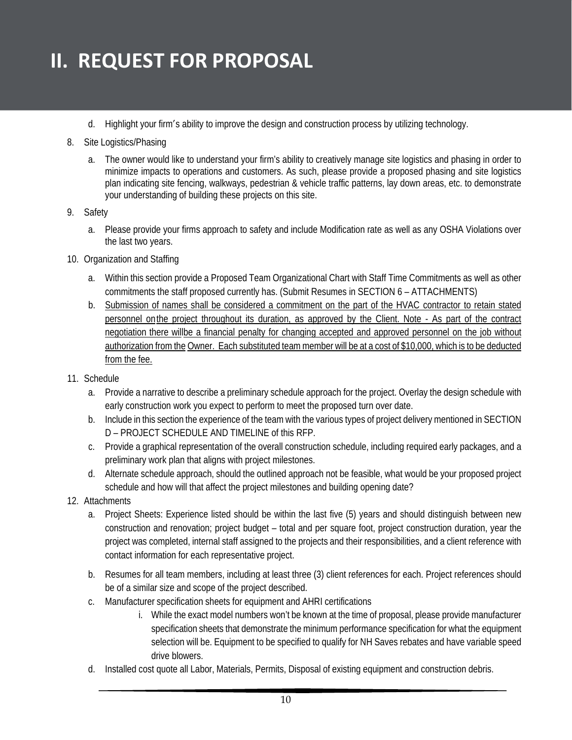- d. Highlight your firm's ability to improve the design and construction process by utilizing technology.
- 8. Site Logistics/Phasing
	- a. The owner would like to understand your firm's ability to creatively manage site logistics and phasing in order to minimize impacts to operations and customers. As such, please provide a proposed phasing and site logistics plan indicating site fencing, walkways, pedestrian & vehicle traffic patterns, lay down areas, etc. to demonstrate your understanding of building these projects on this site.
- 9. Safety
	- a. Please provide your firms approach to safety and include Modification rate as well as any OSHA Violations over the last two years.
- 10. Organization and Staffing
	- a. Within this section provide a Proposed Team Organizational Chart with Staff Time Commitments as well as other commitments the staff proposed currently has. (Submit Resumes in SECTION 6 – ATTACHMENTS)
	- b. Submission of names shall be considered a commitment on the part of the HVAC contractor to retain stated personnel on the project throughout its duration, as approved by the Client. Note - As part of the contract negotiation there willbe a financial penalty for changing accepted and approved personnel on the job without authorization from the Owner. Each substituted team member will be at a cost of \$10,000, which is to be deducted from the fee.
- 11. Schedule
	- a. Provide a narrative to describe a preliminary schedule approach for the project. Overlay the design schedule with early construction work you expect to perform to meet the proposed turn over date.
	- b. Include in this section the experience of the team with the various types of project delivery mentioned in SECTION D – PROJECT SCHEDULE AND TIMELINE of this RFP.
	- c. Provide a graphical representation of the overall construction schedule, including required early packages, and a preliminary work plan that aligns with project milestones.
	- d. Alternate schedule approach, should the outlined approach not be feasible, what would be your proposed project schedule and how will that affect the project milestones and building opening date?
- 12. Attachments
	- a. Project Sheets: Experience listed should be within the last five (5) years and should distinguish between new construction and renovation; project budget – total and per square foot, project construction duration, year the project was completed, internal staff assigned to the projects and their responsibilities, and a client reference with contact information for each representative project.
	- b. Resumes for all team members, including at least three (3) client references for each. Project references should be of a similar size and scope of the project described.
	- c. Manufacturer specification sheets for equipment and AHRI certifications
		- i. While the exact model numbers won't be known at the time of proposal, please provide manufacturer specification sheets that demonstrate the minimum performance specification for what the equipment selection will be. Equipment to be specified to qualify for NH Saves rebates and have variable speed drive blowers.
	- d. Installed cost quote all Labor, Materials, Permits, Disposal of existing equipment and construction debris.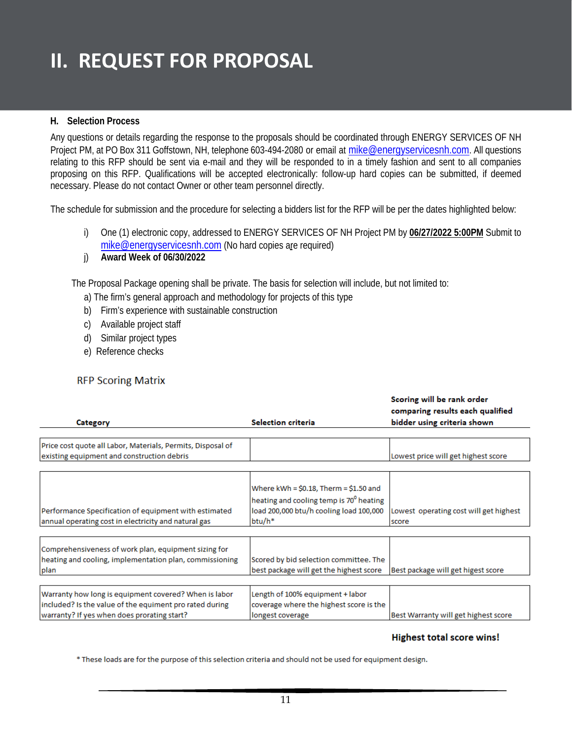#### **H. Selection Process**

Any questions or details regarding the response to the proposals should be coordinated through ENERGY SERVICES OF NH Project PM, at PO Box 311 Goffstown, NH, telephone 603-494-2080 or email at mike@energyservicesnh.com. All questions relating to this RFP should be sent via e-mail and they will be responded to in a timely fashion and sent to all companies proposing on this RFP. Qualifications will be accepted electronically: follow-up hard copies can be submitted, if deemed necessary. Please do not contact Owner or other team personnel directly.

The schedule for submission and the procedure for selecting a bidders list for the RFP will be per the dates highlighted below:

- i) One (1) electronic copy, addressed to ENERGY SERVICES OF NH Project PM by **06/27/2022 5:00PM** Submit to mike@energyservicesnh.com (No hard copies are required)
- j) **Award Week of 06/30/2022**

The Proposal Package opening shall be private. The basis for selection will include, but not limited to:

- a) The firm's general approach and methodology for projects of this type
- b) Firm's experience with sustainable construction
- c) Available project staff
- d) Similar project types
- e) Reference checks

#### **RFP Scoring Matrix**

|                                                             |                                          | Scoring will be rank order             |
|-------------------------------------------------------------|------------------------------------------|----------------------------------------|
|                                                             |                                          | comparing results each qualified       |
| Category                                                    | Selection criteria                       | bidder using criteria shown            |
| Price cost quote all Labor, Materials, Permits, Disposal of |                                          |                                        |
| existing equipment and construction debris                  |                                          | Lowest price will get highest score    |
|                                                             |                                          |                                        |
|                                                             | Where $kWh = $0.18$ , Therm = \$1.50 and |                                        |
|                                                             | heating and cooling temp is 70° heating  |                                        |
| Performance Specification of equipment with estimated       | load 200,000 btu/h cooling load 100,000  | Lowest operating cost will get highest |
| annual operating cost in electricity and natural gas        | btu/h <sup>*</sup>                       | score                                  |
|                                                             |                                          |                                        |
| Comprehensiveness of work plan, equipment sizing for        |                                          |                                        |
| heating and cooling, implementation plan, commissioning     | Scored by bid selection committee. The   |                                        |
| plan                                                        | best package will get the highest score  | Best package will get higest score     |
|                                                             |                                          |                                        |
| Warranty how long is equipment covered? When is labor       | Length of 100% equipment + labor         |                                        |
| included? Is the value of the equiment pro rated during     | coverage where the highest score is the  |                                        |
| warranty? If yes when does prorating start?                 | longest coverage                         | Best Warranty will get highest score   |

#### **Highest total score wins!**

\* These loads are for the purpose of this selection criteria and should not be used for equipment design.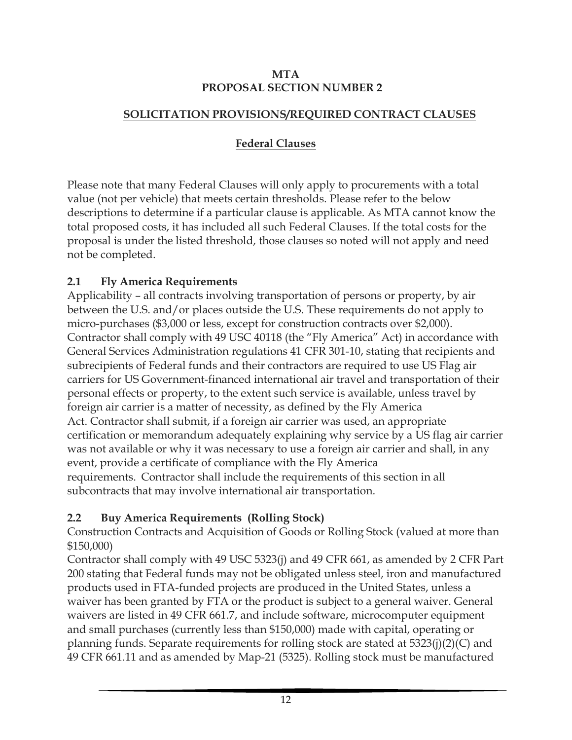#### **MTA PROPOSAL SECTION NUMBER 2**

#### **SOLICITATION PROVISIONS/REQUIRED CONTRACT CLAUSES**

#### **Federal Clauses**

Please note that many Federal Clauses will only apply to procurements with a total value (not per vehicle) that meets certain thresholds. Please refer to the below descriptions to determine if a particular clause is applicable. As MTA cannot know the total proposed costs, it has included all such Federal Clauses. If the total costs for the proposal is under the listed threshold, those clauses so noted will not apply and need not be completed.

#### **2.1 Fly America Requirements**

Applicability – all contracts involving transportation of persons or property, by air between the U.S. and/or places outside the U.S. These requirements do not apply to micro-purchases (\$3,000 or less, except for construction contracts over \$2,000). Contractor shall comply with 49 USC 40118 (the "Fly America" Act) in accordance with General Services Administration regulations 41 CFR 301-10, stating that recipients and subrecipients of Federal funds and their contractors are required to use US Flag air carriers for US Government-financed international air travel and transportation of their personal effects or property, to the extent such service is available, unless travel by foreign air carrier is a matter of necessity, as defined by the Fly America Act. Contractor shall submit, if a foreign air carrier was used, an appropriate certification or memorandum adequately explaining why service by a US flag air carrier was not available or why it was necessary to use a foreign air carrier and shall, in any event, provide a certificate of compliance with the Fly America requirements. Contractor shall include the requirements of this section in all subcontracts that may involve international air transportation.

#### **2.2 Buy America Requirements (Rolling Stock)**

Construction Contracts and Acquisition of Goods or Rolling Stock (valued at more than \$150,000)

Contractor shall comply with 49 USC 5323(j) and 49 CFR 661, as amended by 2 CFR Part 200 stating that Federal funds may not be obligated unless steel, iron and manufactured products used in FTA-funded projects are produced in the United States, unless a waiver has been granted by FTA or the product is subject to a general waiver. General waivers are listed in 49 CFR 661.7, and include software, microcomputer equipment and small purchases (currently less than \$150,000) made with capital, operating or planning funds. Separate requirements for rolling stock are stated at 5323(j)(2)(C) and 49 CFR 661.11 and as amended by Map-21 (5325). Rolling stock must be manufactured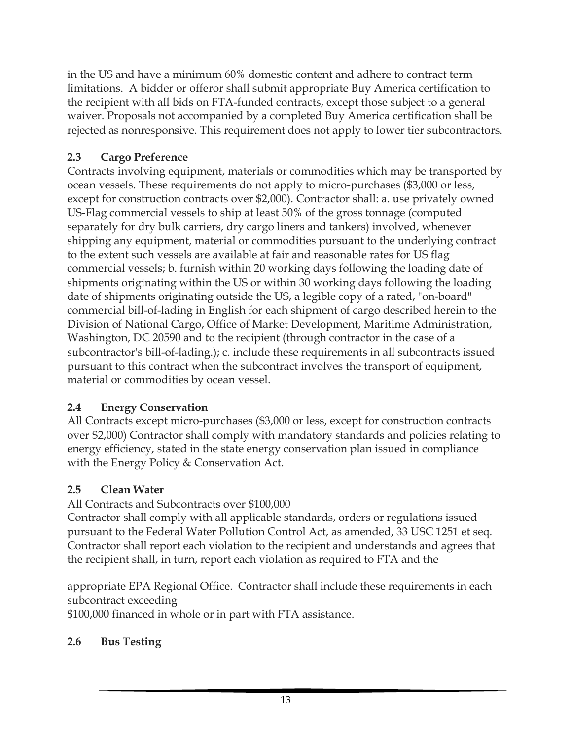in the US and have a minimum 60% domestic content and adhere to contract term limitations. A bidder or offeror shall submit appropriate Buy America certification to the recipient with all bids on FTA-funded contracts, except those subject to a general waiver. Proposals not accompanied by a completed Buy America certification shall be rejected as nonresponsive. This requirement does not apply to lower tier subcontractors.

#### **2.3 Cargo Preference**

Contracts involving equipment, materials or commodities which may be transported by ocean vessels. These requirements do not apply to micro-purchases (\$3,000 or less, except for construction contracts over \$2,000). Contractor shall: a. use privately owned US-Flag commercial vessels to ship at least 50% of the gross tonnage (computed separately for dry bulk carriers, dry cargo liners and tankers) involved, whenever shipping any equipment, material or commodities pursuant to the underlying contract to the extent such vessels are available at fair and reasonable rates for US flag commercial vessels; b. furnish within 20 working days following the loading date of shipments originating within the US or within 30 working days following the loading date of shipments originating outside the US, a legible copy of a rated, "on-board" commercial bill-of-lading in English for each shipment of cargo described herein to the Division of National Cargo, Office of Market Development, Maritime Administration, Washington, DC 20590 and to the recipient (through contractor in the case of a subcontractor's bill-of-lading.); c. include these requirements in all subcontracts issued pursuant to this contract when the subcontract involves the transport of equipment, material or commodities by ocean vessel.

#### **2.4 Energy Conservation**

All Contracts except micro-purchases (\$3,000 or less, except for construction contracts over \$2,000) Contractor shall comply with mandatory standards and policies relating to energy efficiency, stated in the state energy conservation plan issued in compliance with the Energy Policy & Conservation Act.

#### **2.5 Clean Water**

All Contracts and Subcontracts over \$100,000

Contractor shall comply with all applicable standards, orders or regulations issued pursuant to the Federal Water Pollution Control Act, as amended, 33 USC 1251 et seq. Contractor shall report each violation to the recipient and understands and agrees that the recipient shall, in turn, report each violation as required to FTA and the

appropriate EPA Regional Office. Contractor shall include these requirements in each subcontract exceeding

\$100,000 financed in whole or in part with FTA assistance.

#### **2.6 Bus Testing**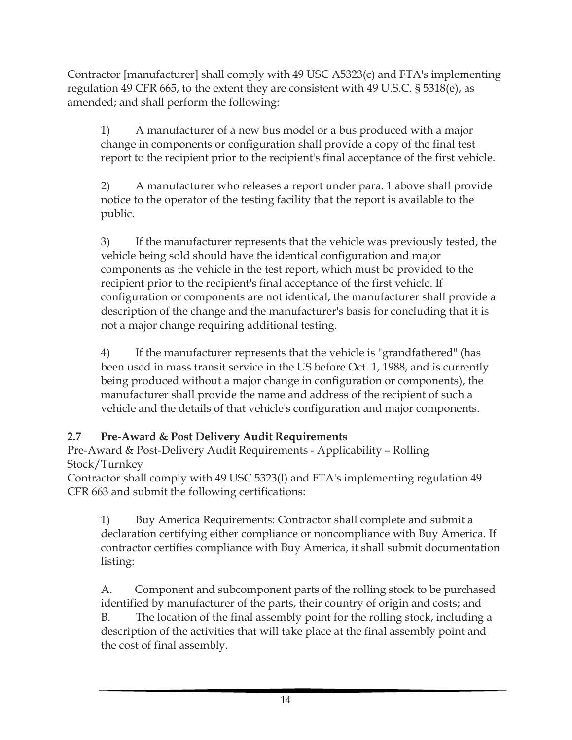Contractor [manufacturer] shall comply with 49 USC A5323(c) and FTA's implementing regulation 49 CFR 665, to the extent they are consistent with 49 U.S.C. § 5318(e), as amended; and shall perform the following:

1) A manufacturer of a new bus model or a bus produced with a major change in components or configuration shall provide a copy of the final test report to the recipient prior to the recipient's final acceptance of the first vehicle.

2) A manufacturer who releases a report under para. 1 above shall provide notice to the operator of the testing facility that the report is available to the public.

3) If the manufacturer represents that the vehicle was previously tested, the vehicle being sold should have the identical configuration and major components as the vehicle in the test report, which must be provided to the recipient prior to the recipient's final acceptance of the first vehicle. If configuration or components are not identical, the manufacturer shall provide a description of the change and the manufacturer's basis for concluding that it is not a major change requiring additional testing.

4) If the manufacturer represents that the vehicle is "grandfathered" (has been used in mass transit service in the US before Oct. 1, 1988, and is currently being produced without a major change in configuration or components), the manufacturer shall provide the name and address of the recipient of such a vehicle and the details of that vehicle's configuration and major components.

#### **2.7 Pre-Award & Post Delivery Audit Requirements**

Pre-Award & Post-Delivery Audit Requirements - Applicability – Rolling Stock/Turnkey

Contractor shall comply with 49 USC 5323(l) and FTA's implementing regulation 49 CFR 663 and submit the following certifications:

1) Buy America Requirements: Contractor shall complete and submit a declaration certifying either compliance or noncompliance with Buy America. If contractor certifies compliance with Buy America, it shall submit documentation listing:

A. Component and subcomponent parts of the rolling stock to be purchased identified by manufacturer of the parts, their country of origin and costs; and B. The location of the final assembly point for the rolling stock, including a description of the activities that will take place at the final assembly point and the cost of final assembly.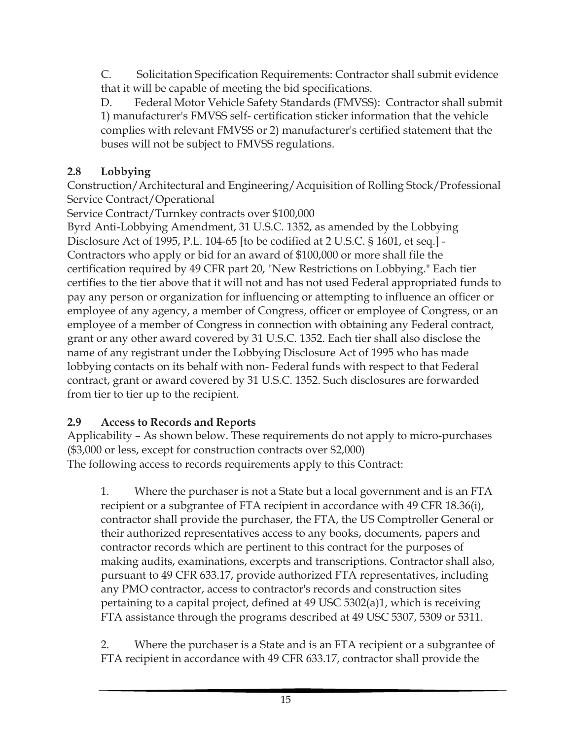C. Solicitation Specification Requirements: Contractor shall submit evidence that it will be capable of meeting the bid specifications.

D. Federal Motor Vehicle Safety Standards (FMVSS): Contractor shall submit 1) manufacturer's FMVSS self- certification sticker information that the vehicle complies with relevant FMVSS or 2) manufacturer's certified statement that the buses will not be subject to FMVSS regulations.

#### **2.8 Lobbying**

Construction/Architectural and Engineering/Acquisition of Rolling Stock/Professional Service Contract/Operational

Service Contract/Turnkey contracts over \$100,000

Byrd Anti-Lobbying Amendment, 31 U.S.C. 1352, as amended by the Lobbying Disclosure Act of 1995, P.L. 104-65 [to be codified at 2 U.S.C. § 1601, et seq.] - Contractors who apply or bid for an award of \$100,000 or more shall file the certification required by 49 CFR part 20, "New Restrictions on Lobbying." Each tier certifies to the tier above that it will not and has not used Federal appropriated funds to pay any person or organization for influencing or attempting to influence an officer or employee of any agency, a member of Congress, officer or employee of Congress, or an employee of a member of Congress in connection with obtaining any Federal contract, grant or any other award covered by 31 U.S.C. 1352. Each tier shall also disclose the name of any registrant under the Lobbying Disclosure Act of 1995 who has made lobbying contacts on its behalf with non- Federal funds with respect to that Federal contract, grant or award covered by 31 U.S.C. 1352. Such disclosures are forwarded from tier to tier up to the recipient.

#### **2.9 Access to Records and Reports**

Applicability – As shown below. These requirements do not apply to micro-purchases (\$3,000 or less, except for construction contracts over \$2,000) The following access to records requirements apply to this Contract:

1. Where the purchaser is not a State but a local government and is an FTA recipient or a subgrantee of FTA recipient in accordance with 49 CFR 18.36(i), contractor shall provide the purchaser, the FTA, the US Comptroller General or their authorized representatives access to any books, documents, papers and contractor records which are pertinent to this contract for the purposes of making audits, examinations, excerpts and transcriptions. Contractor shall also, pursuant to 49 CFR 633.17, provide authorized FTA representatives, including any PMO contractor, access to contractor's records and construction sites pertaining to a capital project, defined at 49 USC 5302(a)1, which is receiving FTA assistance through the programs described at 49 USC 5307, 5309 or 5311.

2. Where the purchaser is a State and is an FTA recipient or a subgrantee of FTA recipient in accordance with 49 CFR 633.17, contractor shall provide the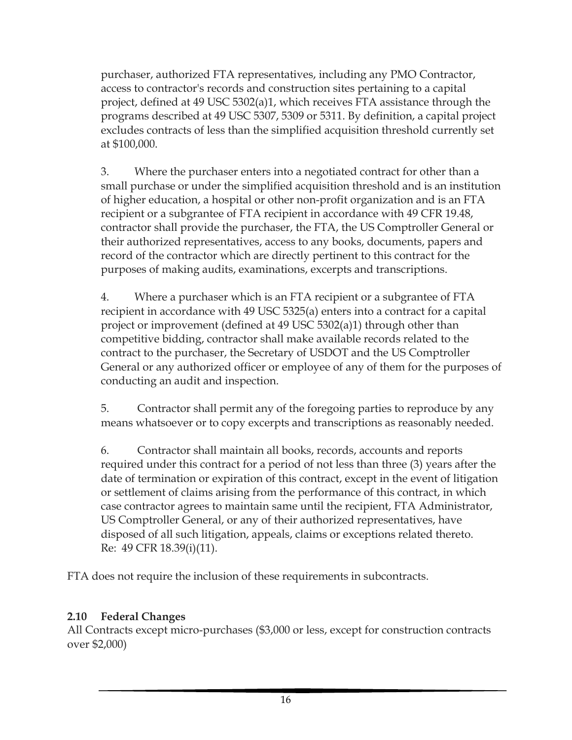purchaser, authorized FTA representatives, including any PMO Contractor, access to contractor's records and construction sites pertaining to a capital project, defined at 49 USC 5302(a)1, which receives FTA assistance through the programs described at 49 USC 5307, 5309 or 5311. By definition, a capital project excludes contracts of less than the simplified acquisition threshold currently set at \$100,000.

3. Where the purchaser enters into a negotiated contract for other than a small purchase or under the simplified acquisition threshold and is an institution of higher education, a hospital or other non-profit organization and is an FTA recipient or a subgrantee of FTA recipient in accordance with 49 CFR 19.48, contractor shall provide the purchaser, the FTA, the US Comptroller General or their authorized representatives, access to any books, documents, papers and record of the contractor which are directly pertinent to this contract for the purposes of making audits, examinations, excerpts and transcriptions.

4. Where a purchaser which is an FTA recipient or a subgrantee of FTA recipient in accordance with 49 USC 5325(a) enters into a contract for a capital project or improvement (defined at 49 USC 5302(a)1) through other than competitive bidding, contractor shall make available records related to the contract to the purchaser, the Secretary of USDOT and the US Comptroller General or any authorized officer or employee of any of them for the purposes of conducting an audit and inspection.

5. Contractor shall permit any of the foregoing parties to reproduce by any means whatsoever or to copy excerpts and transcriptions as reasonably needed.

6. Contractor shall maintain all books, records, accounts and reports required under this contract for a period of not less than three (3) years after the date of termination or expiration of this contract, except in the event of litigation or settlement of claims arising from the performance of this contract, in which case contractor agrees to maintain same until the recipient, FTA Administrator, US Comptroller General, or any of their authorized representatives, have disposed of all such litigation, appeals, claims or exceptions related thereto. Re: 49 CFR 18.39(i)(11).

FTA does not require the inclusion of these requirements in subcontracts.

#### **2.10 Federal Changes**

All Contracts except micro-purchases (\$3,000 or less, except for construction contracts over \$2,000)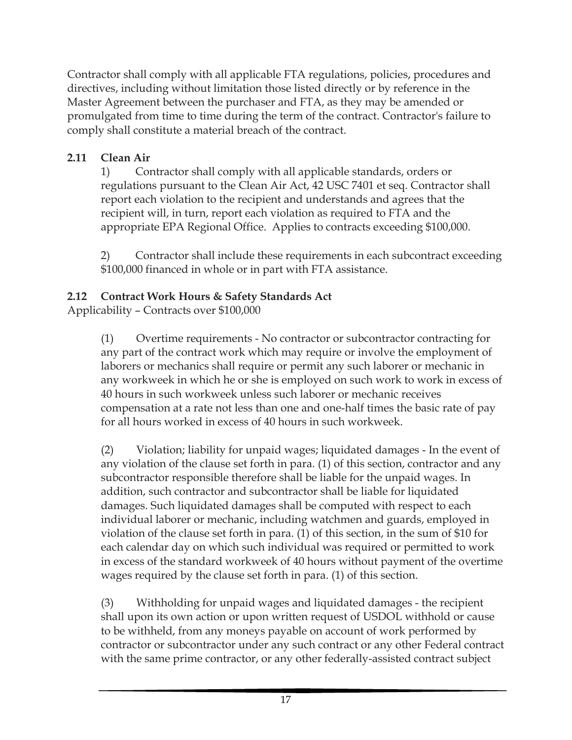Contractor shall comply with all applicable FTA regulations, policies, procedures and directives, including without limitation those listed directly or by reference in the Master Agreement between the purchaser and FTA, as they may be amended or promulgated from time to time during the term of the contract. Contractor's failure to comply shall constitute a material breach of the contract.

#### **2.11 Clean Air**

1) Contractor shall comply with all applicable standards, orders or regulations pursuant to the Clean Air Act, 42 USC 7401 et seq. Contractor shall report each violation to the recipient and understands and agrees that the recipient will, in turn, report each violation as required to FTA and the appropriate EPA Regional Office. Applies to contracts exceeding \$100,000.

2) Contractor shall include these requirements in each subcontract exceeding \$100,000 financed in whole or in part with FTA assistance.

#### **2.12 Contract Work Hours & Safety Standards Act**

Applicability – Contracts over \$100,000

(1) Overtime requirements - No contractor or subcontractor contracting for any part of the contract work which may require or involve the employment of laborers or mechanics shall require or permit any such laborer or mechanic in any workweek in which he or she is employed on such work to work in excess of 40 hours in such workweek unless such laborer or mechanic receives compensation at a rate not less than one and one-half times the basic rate of pay for all hours worked in excess of 40 hours in such workweek.

(2) Violation; liability for unpaid wages; liquidated damages - In the event of any violation of the clause set forth in para. (1) of this section, contractor and any subcontractor responsible therefore shall be liable for the unpaid wages. In addition, such contractor and subcontractor shall be liable for liquidated damages. Such liquidated damages shall be computed with respect to each individual laborer or mechanic, including watchmen and guards, employed in violation of the clause set forth in para. (1) of this section, in the sum of \$10 for each calendar day on which such individual was required or permitted to work in excess of the standard workweek of 40 hours without payment of the overtime wages required by the clause set forth in para. (1) of this section.

(3) Withholding for unpaid wages and liquidated damages - the recipient shall upon its own action or upon written request of USDOL withhold or cause to be withheld, from any moneys payable on account of work performed by contractor or subcontractor under any such contract or any other Federal contract with the same prime contractor, or any other federally-assisted contract subject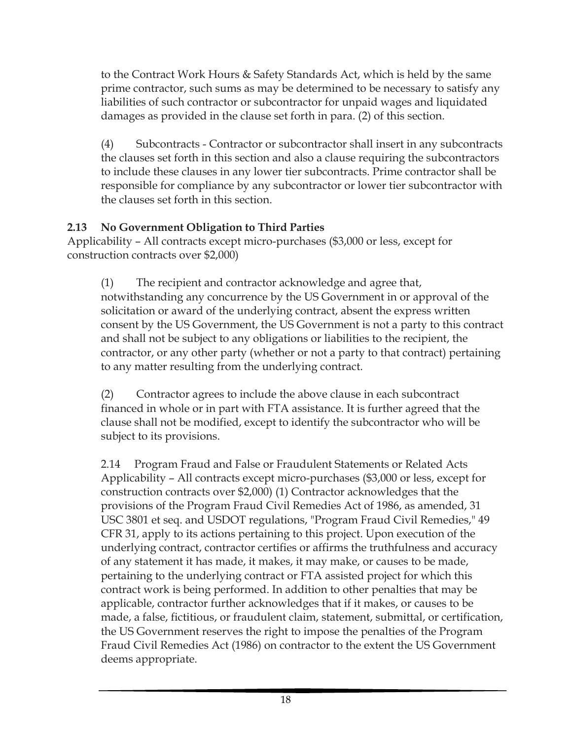to the Contract Work Hours & Safety Standards Act, which is held by the same prime contractor, such sums as may be determined to be necessary to satisfy any liabilities of such contractor or subcontractor for unpaid wages and liquidated damages as provided in the clause set forth in para. (2) of this section.

(4) Subcontracts - Contractor or subcontractor shall insert in any subcontracts the clauses set forth in this section and also a clause requiring the subcontractors to include these clauses in any lower tier subcontracts. Prime contractor shall be responsible for compliance by any subcontractor or lower tier subcontractor with the clauses set forth in this section.

#### **2.13 No Government Obligation to Third Parties**

Applicability – All contracts except micro-purchases (\$3,000 or less, except for construction contracts over \$2,000)

(1) The recipient and contractor acknowledge and agree that, notwithstanding any concurrence by the US Government in or approval of the solicitation or award of the underlying contract, absent the express written consent by the US Government, the US Government is not a party to this contract and shall not be subject to any obligations or liabilities to the recipient, the contractor, or any other party (whether or not a party to that contract) pertaining to any matter resulting from the underlying contract.

(2) Contractor agrees to include the above clause in each subcontract financed in whole or in part with FTA assistance. It is further agreed that the clause shall not be modified, except to identify the subcontractor who will be subject to its provisions.

2.14 Program Fraud and False or Fraudulent Statements or Related Acts Applicability – All contracts except micro-purchases (\$3,000 or less, except for construction contracts over \$2,000) (1) Contractor acknowledges that the provisions of the Program Fraud Civil Remedies Act of 1986, as amended, 31 USC 3801 et seq. and USDOT regulations, "Program Fraud Civil Remedies," 49 CFR 31, apply to its actions pertaining to this project. Upon execution of the underlying contract, contractor certifies or affirms the truthfulness and accuracy of any statement it has made, it makes, it may make, or causes to be made, pertaining to the underlying contract or FTA assisted project for which this contract work is being performed. In addition to other penalties that may be applicable, contractor further acknowledges that if it makes, or causes to be made, a false, fictitious, or fraudulent claim, statement, submittal, or certification, the US Government reserves the right to impose the penalties of the Program Fraud Civil Remedies Act (1986) on contractor to the extent the US Government deems appropriate.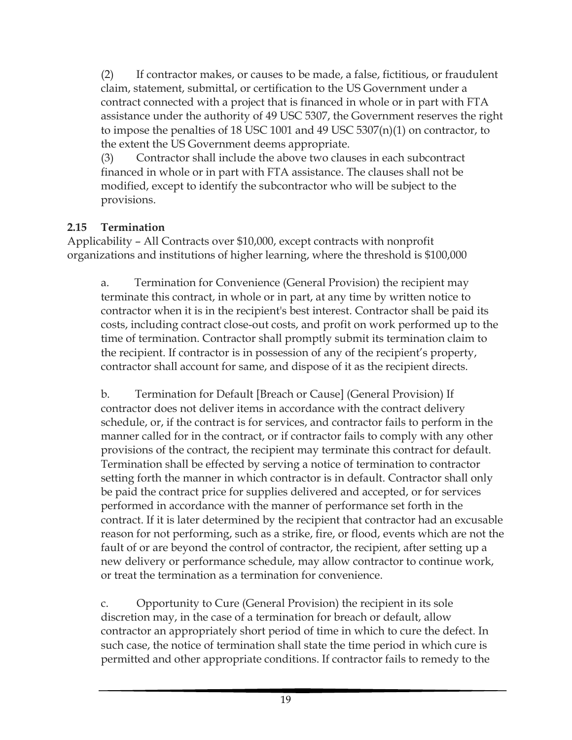(2) If contractor makes, or causes to be made, a false, fictitious, or fraudulent claim, statement, submittal, or certification to the US Government under a contract connected with a project that is financed in whole or in part with FTA assistance under the authority of 49 USC 5307, the Government reserves the right to impose the penalties of 18 USC 1001 and 49 USC 5307(n)(1) on contractor, to the extent the US Government deems appropriate.

(3) Contractor shall include the above two clauses in each subcontract financed in whole or in part with FTA assistance. The clauses shall not be modified, except to identify the subcontractor who will be subject to the provisions.

#### **2.15 Termination**

Applicability – All Contracts over \$10,000, except contracts with nonprofit organizations and institutions of higher learning, where the threshold is \$100,000

a. Termination for Convenience (General Provision) the recipient may terminate this contract, in whole or in part, at any time by written notice to contractor when it is in the recipient's best interest. Contractor shall be paid its costs, including contract close-out costs, and profit on work performed up to the time of termination. Contractor shall promptly submit its termination claim to the recipient. If contractor is in possession of any of the recipient's property, contractor shall account for same, and dispose of it as the recipient directs.

b. Termination for Default [Breach or Cause] (General Provision) If contractor does not deliver items in accordance with the contract delivery schedule, or, if the contract is for services, and contractor fails to perform in the manner called for in the contract, or if contractor fails to comply with any other provisions of the contract, the recipient may terminate this contract for default. Termination shall be effected by serving a notice of termination to contractor setting forth the manner in which contractor is in default. Contractor shall only be paid the contract price for supplies delivered and accepted, or for services performed in accordance with the manner of performance set forth in the contract. If it is later determined by the recipient that contractor had an excusable reason for not performing, such as a strike, fire, or flood, events which are not the fault of or are beyond the control of contractor, the recipient, after setting up a new delivery or performance schedule, may allow contractor to continue work, or treat the termination as a termination for convenience.

c. Opportunity to Cure (General Provision) the recipient in its sole discretion may, in the case of a termination for breach or default, allow contractor an appropriately short period of time in which to cure the defect. In such case, the notice of termination shall state the time period in which cure is permitted and other appropriate conditions. If contractor fails to remedy to the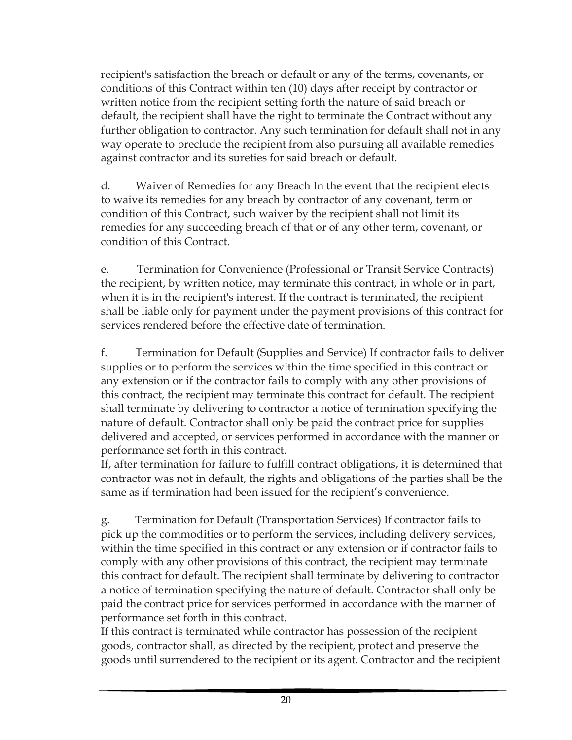recipient's satisfaction the breach or default or any of the terms, covenants, or conditions of this Contract within ten (10) days after receipt by contractor or written notice from the recipient setting forth the nature of said breach or default, the recipient shall have the right to terminate the Contract without any further obligation to contractor. Any such termination for default shall not in any way operate to preclude the recipient from also pursuing all available remedies against contractor and its sureties for said breach or default.

d. Waiver of Remedies for any Breach In the event that the recipient elects to waive its remedies for any breach by contractor of any covenant, term or condition of this Contract, such waiver by the recipient shall not limit its remedies for any succeeding breach of that or of any other term, covenant, or condition of this Contract.

e. Termination for Convenience (Professional or Transit Service Contracts) the recipient, by written notice, may terminate this contract, in whole or in part, when it is in the recipient's interest. If the contract is terminated, the recipient shall be liable only for payment under the payment provisions of this contract for services rendered before the effective date of termination.

f. Termination for Default (Supplies and Service) If contractor fails to deliver supplies or to perform the services within the time specified in this contract or any extension or if the contractor fails to comply with any other provisions of this contract, the recipient may terminate this contract for default. The recipient shall terminate by delivering to contractor a notice of termination specifying the nature of default. Contractor shall only be paid the contract price for supplies delivered and accepted, or services performed in accordance with the manner or performance set forth in this contract.

If, after termination for failure to fulfill contract obligations, it is determined that contractor was not in default, the rights and obligations of the parties shall be the same as if termination had been issued for the recipient's convenience.

g. Termination for Default (Transportation Services) If contractor fails to pick up the commodities or to perform the services, including delivery services, within the time specified in this contract or any extension or if contractor fails to comply with any other provisions of this contract, the recipient may terminate this contract for default. The recipient shall terminate by delivering to contractor a notice of termination specifying the nature of default. Contractor shall only be paid the contract price for services performed in accordance with the manner of performance set forth in this contract.

If this contract is terminated while contractor has possession of the recipient goods, contractor shall, as directed by the recipient, protect and preserve the goods until surrendered to the recipient or its agent. Contractor and the recipient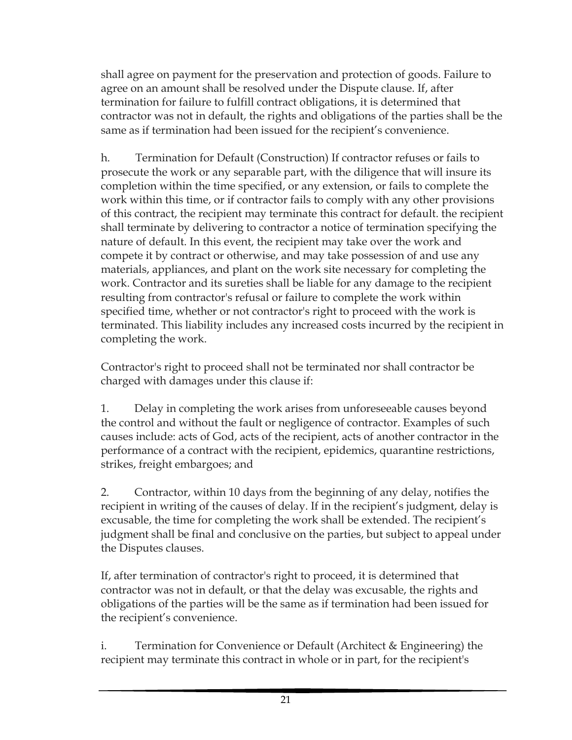shall agree on payment for the preservation and protection of goods. Failure to agree on an amount shall be resolved under the Dispute clause. If, after termination for failure to fulfill contract obligations, it is determined that contractor was not in default, the rights and obligations of the parties shall be the same as if termination had been issued for the recipient's convenience.

h. Termination for Default (Construction) If contractor refuses or fails to prosecute the work or any separable part, with the diligence that will insure its completion within the time specified, or any extension, or fails to complete the work within this time, or if contractor fails to comply with any other provisions of this contract, the recipient may terminate this contract for default. the recipient shall terminate by delivering to contractor a notice of termination specifying the nature of default. In this event, the recipient may take over the work and compete it by contract or otherwise, and may take possession of and use any materials, appliances, and plant on the work site necessary for completing the work. Contractor and its sureties shall be liable for any damage to the recipient resulting from contractor's refusal or failure to complete the work within specified time, whether or not contractor's right to proceed with the work is terminated. This liability includes any increased costs incurred by the recipient in completing the work.

Contractor's right to proceed shall not be terminated nor shall contractor be charged with damages under this clause if:

1. Delay in completing the work arises from unforeseeable causes beyond the control and without the fault or negligence of contractor. Examples of such causes include: acts of God, acts of the recipient, acts of another contractor in the performance of a contract with the recipient, epidemics, quarantine restrictions, strikes, freight embargoes; and

2. Contractor, within 10 days from the beginning of any delay, notifies the recipient in writing of the causes of delay. If in the recipient's judgment, delay is excusable, the time for completing the work shall be extended. The recipient's judgment shall be final and conclusive on the parties, but subject to appeal under the Disputes clauses.

If, after termination of contractor's right to proceed, it is determined that contractor was not in default, or that the delay was excusable, the rights and obligations of the parties will be the same as if termination had been issued for the recipient's convenience.

i. Termination for Convenience or Default (Architect & Engineering) the recipient may terminate this contract in whole or in part, for the recipient's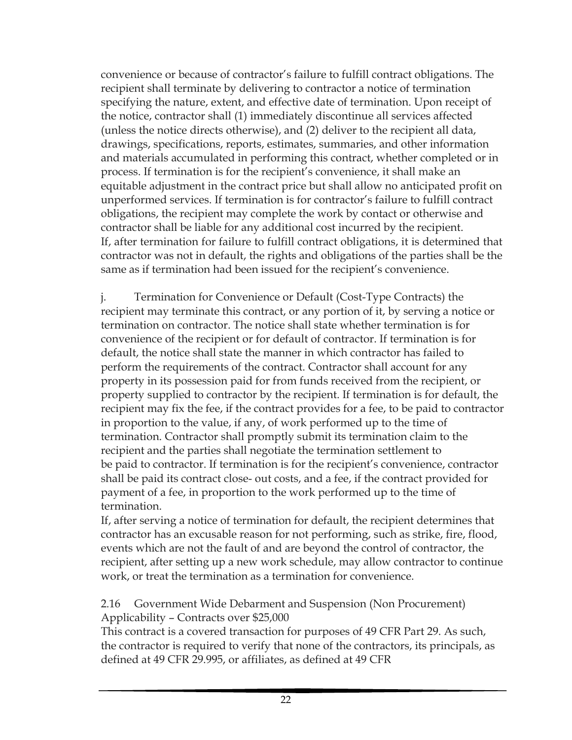convenience or because of contractor's failure to fulfill contract obligations. The recipient shall terminate by delivering to contractor a notice of termination specifying the nature, extent, and effective date of termination. Upon receipt of the notice, contractor shall (1) immediately discontinue all services affected (unless the notice directs otherwise), and (2) deliver to the recipient all data, drawings, specifications, reports, estimates, summaries, and other information and materials accumulated in performing this contract, whether completed or in process. If termination is for the recipient's convenience, it shall make an equitable adjustment in the contract price but shall allow no anticipated profit on unperformed services. If termination is for contractor's failure to fulfill contract obligations, the recipient may complete the work by contact or otherwise and contractor shall be liable for any additional cost incurred by the recipient. If, after termination for failure to fulfill contract obligations, it is determined that contractor was not in default, the rights and obligations of the parties shall be the same as if termination had been issued for the recipient's convenience.

j. Termination for Convenience or Default (Cost-Type Contracts) the recipient may terminate this contract, or any portion of it, by serving a notice or termination on contractor. The notice shall state whether termination is for convenience of the recipient or for default of contractor. If termination is for default, the notice shall state the manner in which contractor has failed to perform the requirements of the contract. Contractor shall account for any property in its possession paid for from funds received from the recipient, or property supplied to contractor by the recipient. If termination is for default, the recipient may fix the fee, if the contract provides for a fee, to be paid to contractor in proportion to the value, if any, of work performed up to the time of termination. Contractor shall promptly submit its termination claim to the recipient and the parties shall negotiate the termination settlement to be paid to contractor. If termination is for the recipient's convenience, contractor shall be paid its contract close- out costs, and a fee, if the contract provided for payment of a fee, in proportion to the work performed up to the time of termination.

If, after serving a notice of termination for default, the recipient determines that contractor has an excusable reason for not performing, such as strike, fire, flood, events which are not the fault of and are beyond the control of contractor, the recipient, after setting up a new work schedule, may allow contractor to continue work, or treat the termination as a termination for convenience.

#### 2.16 Government Wide Debarment and Suspension (Non Procurement) Applicability – Contracts over \$25,000

This contract is a covered transaction for purposes of 49 CFR Part 29. As such, the contractor is required to verify that none of the contractors, its principals, as defined at 49 CFR 29.995, or affiliates, as defined at 49 CFR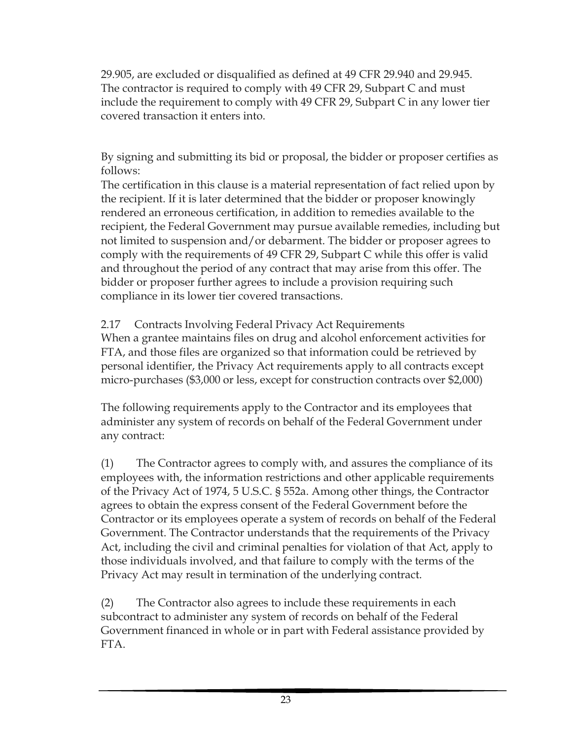29.905, are excluded or disqualified as defined at 49 CFR 29.940 and 29.945. The contractor is required to comply with 49 CFR 29, Subpart C and must include the requirement to comply with 49 CFR 29, Subpart C in any lower tier covered transaction it enters into.

By signing and submitting its bid or proposal, the bidder or proposer certifies as follows:

The certification in this clause is a material representation of fact relied upon by the recipient. If it is later determined that the bidder or proposer knowingly rendered an erroneous certification, in addition to remedies available to the recipient, the Federal Government may pursue available remedies, including but not limited to suspension and/or debarment. The bidder or proposer agrees to comply with the requirements of 49 CFR 29, Subpart C while this offer is valid and throughout the period of any contract that may arise from this offer. The bidder or proposer further agrees to include a provision requiring such compliance in its lower tier covered transactions.

#### 2.17 Contracts Involving Federal Privacy Act Requirements

When a grantee maintains files on drug and alcohol enforcement activities for FTA, and those files are organized so that information could be retrieved by personal identifier, the Privacy Act requirements apply to all contracts except micro-purchases (\$3,000 or less, except for construction contracts over \$2,000)

The following requirements apply to the Contractor and its employees that administer any system of records on behalf of the Federal Government under any contract:

(1) The Contractor agrees to comply with, and assures the compliance of its employees with, the information restrictions and other applicable requirements of the Privacy Act of 1974, 5 U.S.C. § 552a. Among other things, the Contractor agrees to obtain the express consent of the Federal Government before the Contractor or its employees operate a system of records on behalf of the Federal Government. The Contractor understands that the requirements of the Privacy Act, including the civil and criminal penalties for violation of that Act, apply to those individuals involved, and that failure to comply with the terms of the Privacy Act may result in termination of the underlying contract.

(2) The Contractor also agrees to include these requirements in each subcontract to administer any system of records on behalf of the Federal Government financed in whole or in part with Federal assistance provided by FTA.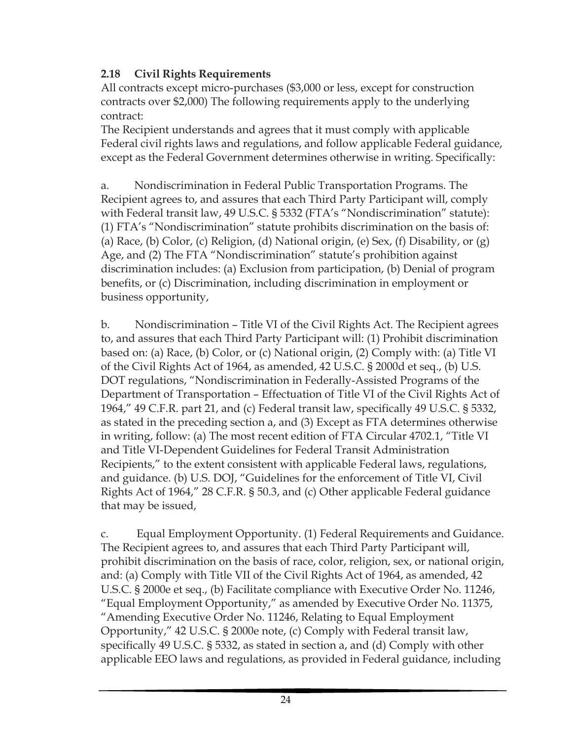#### **2.18 Civil Rights Requirements**

All contracts except micro-purchases (\$3,000 or less, except for construction contracts over \$2,000) The following requirements apply to the underlying contract:

The Recipient understands and agrees that it must comply with applicable Federal civil rights laws and regulations, and follow applicable Federal guidance, except as the Federal Government determines otherwise in writing. Specifically:

a. Nondiscrimination in Federal Public Transportation Programs. The Recipient agrees to, and assures that each Third Party Participant will, comply with Federal transit law, 49 U.S.C. § 5332 (FTA's "Nondiscrimination" statute): (1) FTA's "Nondiscrimination" statute prohibits discrimination on the basis of: (a) Race, (b) Color, (c) Religion, (d) National origin, (e) Sex, (f) Disability, or (g) Age, and (2) The FTA "Nondiscrimination" statute's prohibition against discrimination includes: (a) Exclusion from participation, (b) Denial of program benefits, or (c) Discrimination, including discrimination in employment or business opportunity,

b. Nondiscrimination – Title VI of the Civil Rights Act. The Recipient agrees to, and assures that each Third Party Participant will: (1) Prohibit discrimination based on: (a) Race, (b) Color, or (c) National origin, (2) Comply with: (a) Title VI of the Civil Rights Act of 1964, as amended, 42 U.S.C. § 2000d et seq., (b) U.S. DOT regulations, "Nondiscrimination in Federally-Assisted Programs of the Department of Transportation – Effectuation of Title VI of the Civil Rights Act of 1964," 49 C.F.R. part 21, and (c) Federal transit law, specifically 49 U.S.C. § 5332, as stated in the preceding section a, and (3) Except as FTA determines otherwise in writing, follow: (a) The most recent edition of FTA Circular 4702.1, "Title VI and Title VI-Dependent Guidelines for Federal Transit Administration Recipients," to the extent consistent with applicable Federal laws, regulations, and guidance. (b) U.S. DOJ, "Guidelines for the enforcement of Title VI, Civil Rights Act of 1964," 28 C.F.R. § 50.3, and (c) Other applicable Federal guidance that may be issued,

c. Equal Employment Opportunity. (1) Federal Requirements and Guidance. The Recipient agrees to, and assures that each Third Party Participant will, prohibit discrimination on the basis of race, color, religion, sex, or national origin, and: (a) Comply with Title VII of the Civil Rights Act of 1964, as amended, 42 U.S.C. § 2000e et seq., (b) Facilitate compliance with Executive Order No. 11246, "Equal Employment Opportunity," as amended by Executive Order No. 11375, "Amending Executive Order No. 11246, Relating to Equal Employment Opportunity," 42 U.S.C. § 2000e note, (c) Comply with Federal transit law, specifically 49 U.S.C. § 5332, as stated in section a, and (d) Comply with other applicable EEO laws and regulations, as provided in Federal guidance, including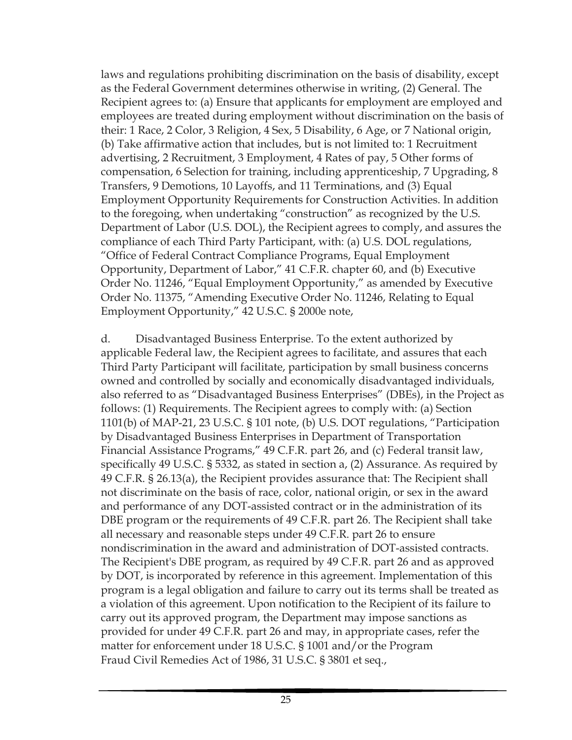laws and regulations prohibiting discrimination on the basis of disability, except as the Federal Government determines otherwise in writing, (2) General. The Recipient agrees to: (a) Ensure that applicants for employment are employed and employees are treated during employment without discrimination on the basis of their: 1 Race, 2 Color, 3 Religion, 4 Sex, 5 Disability, 6 Age, or 7 National origin, (b) Take affirmative action that includes, but is not limited to: 1 Recruitment advertising, 2 Recruitment, 3 Employment, 4 Rates of pay, 5 Other forms of compensation, 6 Selection for training, including apprenticeship, 7 Upgrading, 8 Transfers, 9 Demotions, 10 Layoffs, and 11 Terminations, and (3) Equal Employment Opportunity Requirements for Construction Activities. In addition to the foregoing, when undertaking "construction" as recognized by the U.S. Department of Labor (U.S. DOL), the Recipient agrees to comply, and assures the compliance of each Third Party Participant, with: (a) U.S. DOL regulations, "Office of Federal Contract Compliance Programs, Equal Employment Opportunity, Department of Labor," 41 C.F.R. chapter 60, and (b) Executive Order No. 11246, "Equal Employment Opportunity," as amended by Executive Order No. 11375, "Amending Executive Order No. 11246, Relating to Equal Employment Opportunity," 42 U.S.C. § 2000e note,

d. Disadvantaged Business Enterprise. To the extent authorized by applicable Federal law, the Recipient agrees to facilitate, and assures that each Third Party Participant will facilitate, participation by small business concerns owned and controlled by socially and economically disadvantaged individuals, also referred to as "Disadvantaged Business Enterprises" (DBEs), in the Project as follows: (1) Requirements. The Recipient agrees to comply with: (a) Section 1101(b) of MAP-21, 23 U.S.C. § 101 note, (b) U.S. DOT regulations, "Participation by Disadvantaged Business Enterprises in Department of Transportation Financial Assistance Programs," 49 C.F.R. part 26, and (c) Federal transit law, specifically 49 U.S.C. § 5332, as stated in section a, (2) Assurance. As required by 49 C.F.R. § 26.13(a), the Recipient provides assurance that: The Recipient shall not discriminate on the basis of race, color, national origin, or sex in the award and performance of any DOT-assisted contract or in the administration of its DBE program or the requirements of 49 C.F.R. part 26. The Recipient shall take all necessary and reasonable steps under 49 C.F.R. part 26 to ensure nondiscrimination in the award and administration of DOT-assisted contracts. The Recipient's DBE program, as required by 49 C.F.R. part 26 and as approved by DOT, is incorporated by reference in this agreement. Implementation of this program is a legal obligation and failure to carry out its terms shall be treated as a violation of this agreement. Upon notification to the Recipient of its failure to carry out its approved program, the Department may impose sanctions as provided for under 49 C.F.R. part 26 and may, in appropriate cases, refer the matter for enforcement under 18 U.S.C. § 1001 and/or the Program Fraud Civil Remedies Act of 1986, 31 U.S.C. § 3801 et seq.,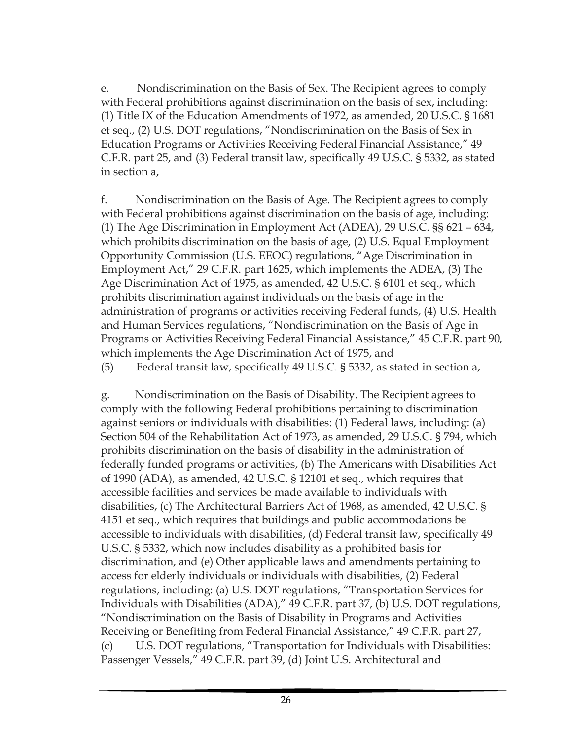e. Nondiscrimination on the Basis of Sex. The Recipient agrees to comply with Federal prohibitions against discrimination on the basis of sex, including: (1) Title IX of the Education Amendments of 1972, as amended, 20 U.S.C. § 1681 et seq., (2) U.S. DOT regulations, "Nondiscrimination on the Basis of Sex in Education Programs or Activities Receiving Federal Financial Assistance," 49 C.F.R. part 25, and (3) Federal transit law, specifically 49 U.S.C. § 5332, as stated in section a,

f. Nondiscrimination on the Basis of Age. The Recipient agrees to comply with Federal prohibitions against discrimination on the basis of age, including: (1) The Age Discrimination in Employment Act (ADEA), 29 U.S.C. §§ 621 – 634, which prohibits discrimination on the basis of age, (2) U.S. Equal Employment Opportunity Commission (U.S. EEOC) regulations, "Age Discrimination in Employment Act," 29 C.F.R. part 1625, which implements the ADEA, (3) The Age Discrimination Act of 1975, as amended, 42 U.S.C. § 6101 et seq., which prohibits discrimination against individuals on the basis of age in the administration of programs or activities receiving Federal funds, (4) U.S. Health and Human Services regulations, "Nondiscrimination on the Basis of Age in Programs or Activities Receiving Federal Financial Assistance," 45 C.F.R. part 90, which implements the Age Discrimination Act of 1975, and

(5) Federal transit law, specifically 49 U.S.C. § 5332, as stated in section a,

g. Nondiscrimination on the Basis of Disability. The Recipient agrees to comply with the following Federal prohibitions pertaining to discrimination against seniors or individuals with disabilities: (1) Federal laws, including: (a) Section 504 of the Rehabilitation Act of 1973, as amended, 29 U.S.C. § 794, which prohibits discrimination on the basis of disability in the administration of federally funded programs or activities, (b) The Americans with Disabilities Act of 1990 (ADA), as amended, 42 U.S.C. § 12101 et seq., which requires that accessible facilities and services be made available to individuals with disabilities, (c) The Architectural Barriers Act of 1968, as amended, 42 U.S.C. § 4151 et seq., which requires that buildings and public accommodations be accessible to individuals with disabilities, (d) Federal transit law, specifically 49 U.S.C. § 5332, which now includes disability as a prohibited basis for discrimination, and (e) Other applicable laws and amendments pertaining to access for elderly individuals or individuals with disabilities, (2) Federal regulations, including: (a) U.S. DOT regulations, "Transportation Services for Individuals with Disabilities (ADA)," 49 C.F.R. part 37, (b) U.S. DOT regulations, "Nondiscrimination on the Basis of Disability in Programs and Activities Receiving or Benefiting from Federal Financial Assistance," 49 C.F.R. part 27, (c) U.S. DOT regulations, "Transportation for Individuals with Disabilities: Passenger Vessels," 49 C.F.R. part 39, (d) Joint U.S. Architectural and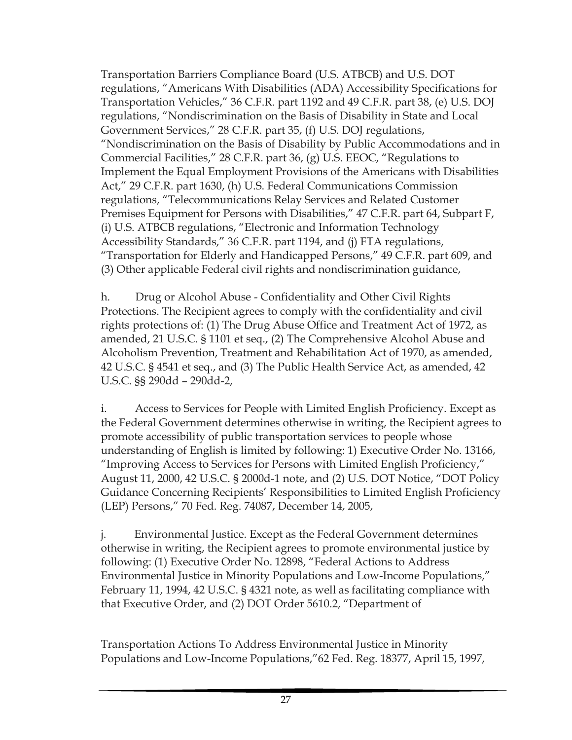Transportation Barriers Compliance Board (U.S. ATBCB) and U.S. DOT regulations, "Americans With Disabilities (ADA) Accessibility Specifications for Transportation Vehicles," 36 C.F.R. part 1192 and 49 C.F.R. part 38, (e) U.S. DOJ regulations, "Nondiscrimination on the Basis of Disability in State and Local Government Services," 28 C.F.R. part 35, (f) U.S. DOJ regulations, "Nondiscrimination on the Basis of Disability by Public Accommodations and in Commercial Facilities," 28 C.F.R. part 36, (g) U.S. EEOC, "Regulations to Implement the Equal Employment Provisions of the Americans with Disabilities Act," 29 C.F.R. part 1630, (h) U.S. Federal Communications Commission regulations, "Telecommunications Relay Services and Related Customer Premises Equipment for Persons with Disabilities," 47 C.F.R. part 64, Subpart F, (i) U.S. ATBCB regulations, "Electronic and Information Technology Accessibility Standards," 36 C.F.R. part 1194, and (j) FTA regulations, "Transportation for Elderly and Handicapped Persons," 49 C.F.R. part 609, and (3) Other applicable Federal civil rights and nondiscrimination guidance,

h. Drug or Alcohol Abuse - Confidentiality and Other Civil Rights Protections. The Recipient agrees to comply with the confidentiality and civil rights protections of: (1) The Drug Abuse Office and Treatment Act of 1972, as amended, 21 U.S.C. § 1101 et seq., (2) The Comprehensive Alcohol Abuse and Alcoholism Prevention, Treatment and Rehabilitation Act of 1970, as amended, 42 U.S.C. § 4541 et seq., and (3) The Public Health Service Act, as amended, 42 U.S.C. §§ 290dd – 290dd-2,

i. Access to Services for People with Limited English Proficiency. Except as the Federal Government determines otherwise in writing, the Recipient agrees to promote accessibility of public transportation services to people whose understanding of English is limited by following: 1) Executive Order No. 13166, "Improving Access to Services for Persons with Limited English Proficiency," August 11, 2000, 42 U.S.C. § 2000d-1 note, and (2) U.S. DOT Notice, "DOT Policy Guidance Concerning Recipients' Responsibilities to Limited English Proficiency (LEP) Persons," 70 Fed. Reg. 74087, December 14, 2005,

j. Environmental Justice. Except as the Federal Government determines otherwise in writing, the Recipient agrees to promote environmental justice by following: (1) Executive Order No. 12898, "Federal Actions to Address Environmental Justice in Minority Populations and Low-Income Populations," February 11, 1994, 42 U.S.C. § 4321 note, as well as facilitating compliance with that Executive Order, and (2) DOT Order 5610.2, "Department of

Transportation Actions To Address Environmental Justice in Minority Populations and Low-Income Populations,"62 Fed. Reg. 18377, April 15, 1997,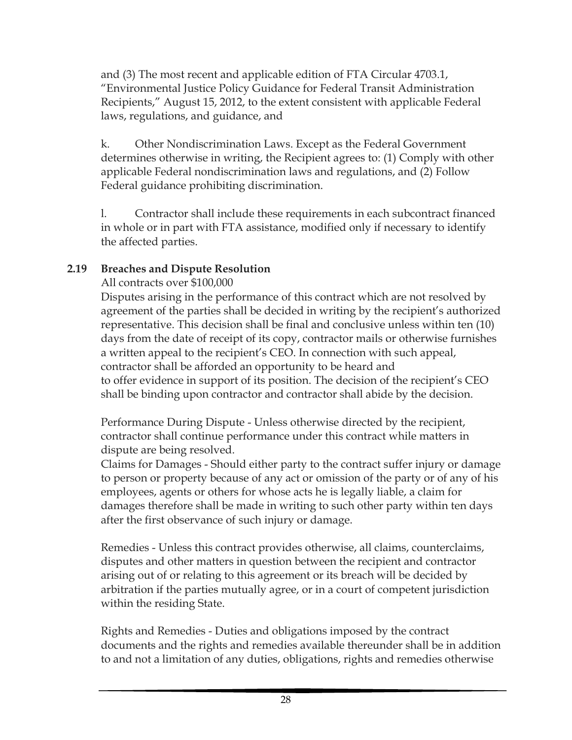and (3) The most recent and applicable edition of FTA Circular 4703.1, "Environmental Justice Policy Guidance for Federal Transit Administration Recipients," August 15, 2012, to the extent consistent with applicable Federal laws, regulations, and guidance, and

k. Other Nondiscrimination Laws. Except as the Federal Government determines otherwise in writing, the Recipient agrees to: (1) Comply with other applicable Federal nondiscrimination laws and regulations, and (2) Follow Federal guidance prohibiting discrimination.

l. Contractor shall include these requirements in each subcontract financed in whole or in part with FTA assistance, modified only if necessary to identify the affected parties.

#### **2.19 Breaches and Dispute Resolution**

All contracts over \$100,000

Disputes arising in the performance of this contract which are not resolved by agreement of the parties shall be decided in writing by the recipient's authorized representative. This decision shall be final and conclusive unless within ten (10) days from the date of receipt of its copy, contractor mails or otherwise furnishes a written appeal to the recipient's CEO. In connection with such appeal, contractor shall be afforded an opportunity to be heard and to offer evidence in support of its position. The decision of the recipient's CEO shall be binding upon contractor and contractor shall abide by the decision.

Performance During Dispute - Unless otherwise directed by the recipient, contractor shall continue performance under this contract while matters in dispute are being resolved.

Claims for Damages - Should either party to the contract suffer injury or damage to person or property because of any act or omission of the party or of any of his employees, agents or others for whose acts he is legally liable, a claim for damages therefore shall be made in writing to such other party within ten days after the first observance of such injury or damage.

Remedies - Unless this contract provides otherwise, all claims, counterclaims, disputes and other matters in question between the recipient and contractor arising out of or relating to this agreement or its breach will be decided by arbitration if the parties mutually agree, or in a court of competent jurisdiction within the residing State.

Rights and Remedies - Duties and obligations imposed by the contract documents and the rights and remedies available thereunder shall be in addition to and not a limitation of any duties, obligations, rights and remedies otherwise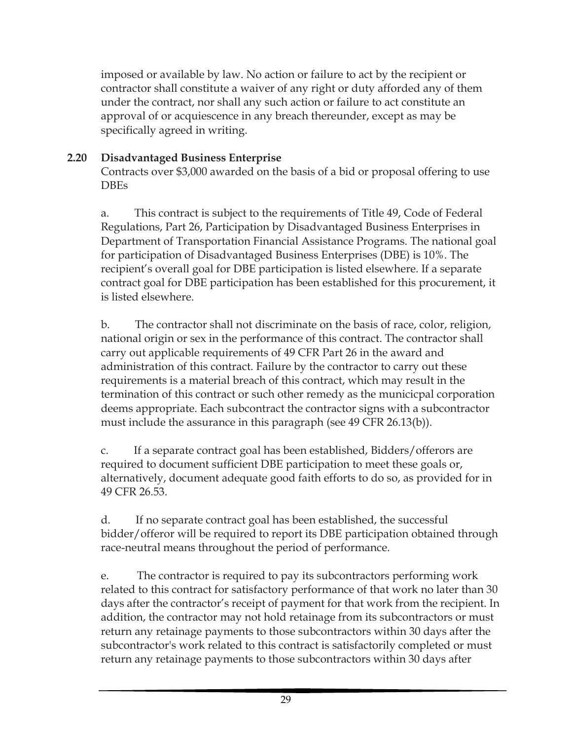imposed or available by law. No action or failure to act by the recipient or contractor shall constitute a waiver of any right or duty afforded any of them under the contract, nor shall any such action or failure to act constitute an approval of or acquiescence in any breach thereunder, except as may be specifically agreed in writing.

#### **2.20 Disadvantaged Business Enterprise**

Contracts over \$3,000 awarded on the basis of a bid or proposal offering to use DBEs

a. This contract is subject to the requirements of Title 49, Code of Federal Regulations, Part 26, Participation by Disadvantaged Business Enterprises in Department of Transportation Financial Assistance Programs. The national goal for participation of Disadvantaged Business Enterprises (DBE) is 10%. The recipient's overall goal for DBE participation is listed elsewhere. If a separate contract goal for DBE participation has been established for this procurement, it is listed elsewhere.

b. The contractor shall not discriminate on the basis of race, color, religion, national origin or sex in the performance of this contract. The contractor shall carry out applicable requirements of 49 CFR Part 26 in the award and administration of this contract. Failure by the contractor to carry out these requirements is a material breach of this contract, which may result in the termination of this contract or such other remedy as the municicpal corporation deems appropriate. Each subcontract the contractor signs with a subcontractor must include the assurance in this paragraph (see 49 CFR 26.13(b)).

c. If a separate contract goal has been established, Bidders/offerors are required to document sufficient DBE participation to meet these goals or, alternatively, document adequate good faith efforts to do so, as provided for in 49 CFR 26.53.

d. If no separate contract goal has been established, the successful bidder/offeror will be required to report its DBE participation obtained through race-neutral means throughout the period of performance.

e. The contractor is required to pay its subcontractors performing work related to this contract for satisfactory performance of that work no later than 30 days after the contractor's receipt of payment for that work from the recipient. In addition, the contractor may not hold retainage from its subcontractors or must return any retainage payments to those subcontractors within 30 days after the subcontractor's work related to this contract is satisfactorily completed or must return any retainage payments to those subcontractors within 30 days after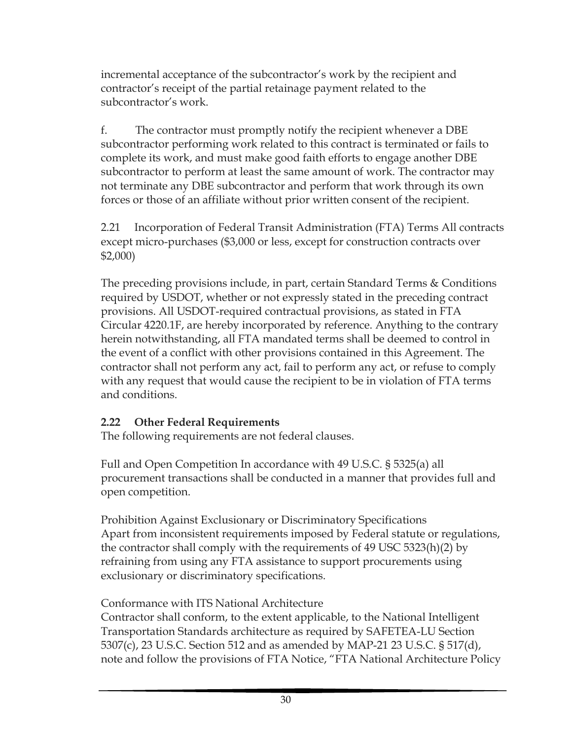incremental acceptance of the subcontractor's work by the recipient and contractor's receipt of the partial retainage payment related to the subcontractor's work.

f. The contractor must promptly notify the recipient whenever a DBE subcontractor performing work related to this contract is terminated or fails to complete its work, and must make good faith efforts to engage another DBE subcontractor to perform at least the same amount of work. The contractor may not terminate any DBE subcontractor and perform that work through its own forces or those of an affiliate without prior written consent of the recipient.

2.21 Incorporation of Federal Transit Administration (FTA) Terms All contracts except micro-purchases (\$3,000 or less, except for construction contracts over \$2,000)

The preceding provisions include, in part, certain Standard Terms & Conditions required by USDOT, whether or not expressly stated in the preceding contract provisions. All USDOT-required contractual provisions, as stated in FTA Circular 4220.1F, are hereby incorporated by reference. Anything to the contrary herein notwithstanding, all FTA mandated terms shall be deemed to control in the event of a conflict with other provisions contained in this Agreement. The contractor shall not perform any act, fail to perform any act, or refuse to comply with any request that would cause the recipient to be in violation of FTA terms and conditions.

#### **2.22 Other Federal Requirements**

The following requirements are not federal clauses.

Full and Open Competition In accordance with 49 U.S.C. § 5325(a) all procurement transactions shall be conducted in a manner that provides full and open competition.

Prohibition Against Exclusionary or Discriminatory Specifications Apart from inconsistent requirements imposed by Federal statute or regulations, the contractor shall comply with the requirements of 49 USC 5323(h)(2) by refraining from using any FTA assistance to support procurements using exclusionary or discriminatory specifications.

#### Conformance with ITS National Architecture

Contractor shall conform, to the extent applicable, to the National Intelligent Transportation Standards architecture as required by SAFETEA-LU Section 5307(c), 23 U.S.C. Section 512 and as amended by MAP-21 23 U.S.C. § 517(d), note and follow the provisions of FTA Notice, "FTA National Architecture Policy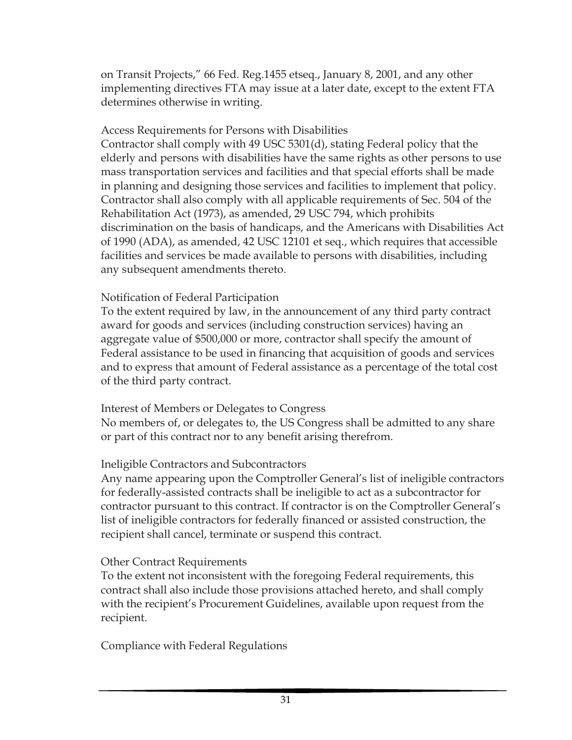on Transit Projects," 66 Fed. Reg.1455 etseq., January 8, 2001, and any other implementing directives FTA may issue at a later date, except to the extent FTA determines otherwise in writing.

#### Access Requirements for Persons with Disabilities

Contractor shall comply with 49 USC 5301(d), stating Federal policy that the elderly and persons with disabilities have the same rights as other persons to use mass transportation services and facilities and that special efforts shall be made in planning and designing those services and facilities to implement that policy. Contractor shall also comply with all applicable requirements of Sec. 504 of the Rehabilitation Act (1973), as amended, 29 USC 794, which prohibits discrimination on the basis of handicaps, and the Americans with Disabilities Act of 1990 (ADA), as amended, 42 USC 12101 et seq., which requires that accessible facilities and services be made available to persons with disabilities, including any subsequent amendments thereto.

#### Notification of Federal Participation

To the extent required by law, in the announcement of any third party contract award for goods and services (including construction services) having an aggregate value of \$500,000 or more, contractor shall specify the amount of Federal assistance to be used in financing that acquisition of goods and services and to express that amount of Federal assistance as a percentage of the total cost of the third party contract.

#### Interest of Members or Delegates to Congress

No members of, or delegates to, the US Congress shall be admitted to any share or part of this contract nor to any benefit arising therefrom.

#### Ineligible Contractors and Subcontractors

Any name appearing upon the Comptroller General's list of ineligible contractors for federally-assisted contracts shall be ineligible to act as a subcontractor for contractor pursuant to this contract. If contractor is on the Comptroller General's list of ineligible contractors for federally financed or assisted construction, the recipient shall cancel, terminate or suspend this contract.

#### Other Contract Requirements

To the extent not inconsistent with the foregoing Federal requirements, this contract shall also include those provisions attached hereto, and shall comply with the recipient's Procurement Guidelines, available upon request from the recipient.

Compliance with Federal Regulations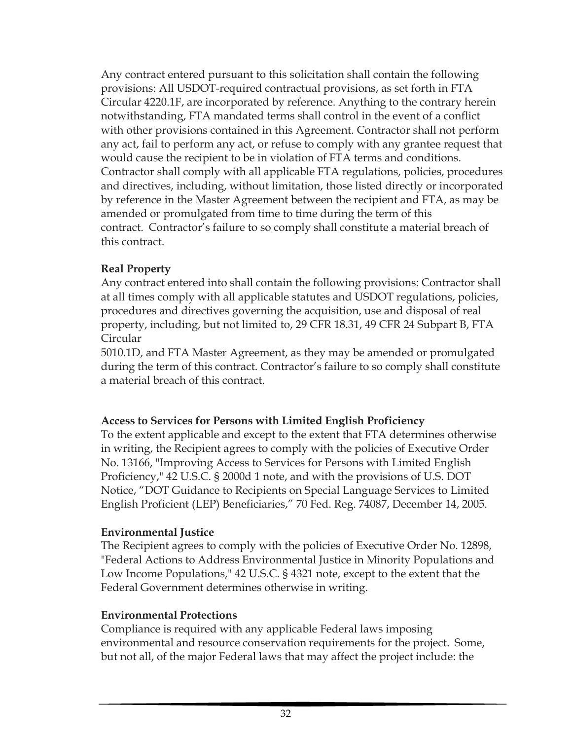Any contract entered pursuant to this solicitation shall contain the following provisions: All USDOT-required contractual provisions, as set forth in FTA Circular 4220.1F, are incorporated by reference. Anything to the contrary herein notwithstanding, FTA mandated terms shall control in the event of a conflict with other provisions contained in this Agreement. Contractor shall not perform any act, fail to perform any act, or refuse to comply with any grantee request that would cause the recipient to be in violation of FTA terms and conditions. Contractor shall comply with all applicable FTA regulations, policies, procedures and directives, including, without limitation, those listed directly or incorporated by reference in the Master Agreement between the recipient and FTA, as may be amended or promulgated from time to time during the term of this contract. Contractor's failure to so comply shall constitute a material breach of this contract.

#### **Real Property**

Any contract entered into shall contain the following provisions: Contractor shall at all times comply with all applicable statutes and USDOT regulations, policies, procedures and directives governing the acquisition, use and disposal of real property, including, but not limited to, 29 CFR 18.31, 49 CFR 24 Subpart B, FTA Circular

5010.1D, and FTA Master Agreement, as they may be amended or promulgated during the term of this contract. Contractor's failure to so comply shall constitute a material breach of this contract.

#### **Access to Services for Persons with Limited English Proficiency**

To the extent applicable and except to the extent that FTA determines otherwise in writing, the Recipient agrees to comply with the policies of Executive Order No. 13166, "Improving Access to Services for Persons with Limited English Proficiency," 42 U.S.C. § 2000d 1 note, and with the provisions of U.S. DOT Notice, "DOT Guidance to Recipients on Special Language Services to Limited English Proficient (LEP) Beneficiaries," 70 Fed. Reg. 74087, December 14, 2005.

#### **Environmental Justice**

The Recipient agrees to comply with the policies of Executive Order No. 12898, "Federal Actions to Address Environmental Justice in Minority Populations and Low Income Populations," 42 U.S.C. § 4321 note, except to the extent that the Federal Government determines otherwise in writing.

#### **Environmental Protections**

Compliance is required with any applicable Federal laws imposing environmental and resource conservation requirements for the project. Some, but not all, of the major Federal laws that may affect the project include: the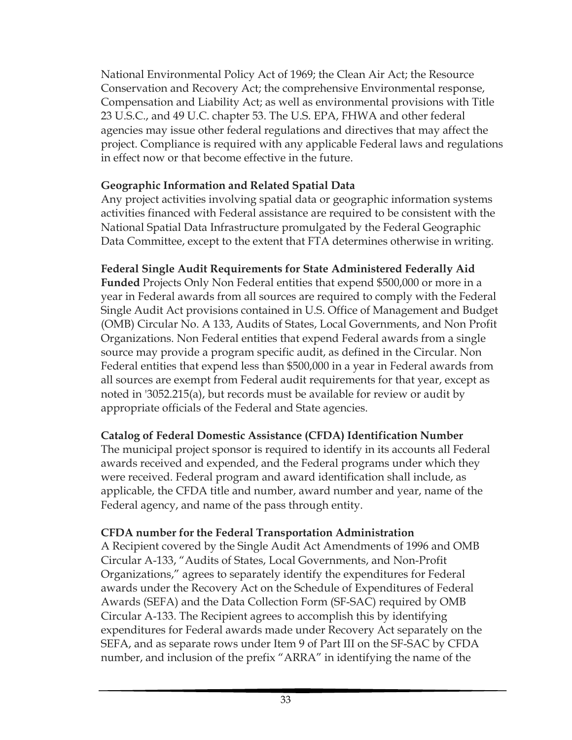National Environmental Policy Act of 1969; the Clean Air Act; the Resource Conservation and Recovery Act; the comprehensive Environmental response, Compensation and Liability Act; as well as environmental provisions with Title 23 U.S.C., and 49 U.C. chapter 53. The U.S. EPA, FHWA and other federal agencies may issue other federal regulations and directives that may affect the project. Compliance is required with any applicable Federal laws and regulations in effect now or that become effective in the future.

#### **Geographic Information and Related Spatial Data**

Any project activities involving spatial data or geographic information systems activities financed with Federal assistance are required to be consistent with the National Spatial Data Infrastructure promulgated by the Federal Geographic Data Committee, except to the extent that FTA determines otherwise in writing.

#### **Federal Single Audit Requirements for State Administered Federally Aid**

**Funded** Projects Only Non Federal entities that expend \$500,000 or more in a year in Federal awards from all sources are required to comply with the Federal Single Audit Act provisions contained in U.S. Office of Management and Budget (OMB) Circular No. A 133, Audits of States, Local Governments, and Non Profit Organizations. Non Federal entities that expend Federal awards from a single source may provide a program specific audit, as defined in the Circular. Non Federal entities that expend less than \$500,000 in a year in Federal awards from all sources are exempt from Federal audit requirements for that year, except as noted in '3052.215(a), but records must be available for review or audit by appropriate officials of the Federal and State agencies.

#### **Catalog of Federal Domestic Assistance (CFDA) Identification Number**

The municipal project sponsor is required to identify in its accounts all Federal awards received and expended, and the Federal programs under which they were received. Federal program and award identification shall include, as applicable, the CFDA title and number, award number and year, name of the Federal agency, and name of the pass through entity.

#### **CFDA number for the Federal Transportation Administration**

A Recipient covered by the Single Audit Act Amendments of 1996 and OMB Circular A-133, "Audits of States, Local Governments, and Non-Profit Organizations," agrees to separately identify the expenditures for Federal awards under the Recovery Act on the Schedule of Expenditures of Federal Awards (SEFA) and the Data Collection Form (SF-SAC) required by OMB Circular A-133. The Recipient agrees to accomplish this by identifying expenditures for Federal awards made under Recovery Act separately on the SEFA, and as separate rows under Item 9 of Part III on the SF-SAC by CFDA number, and inclusion of the prefix "ARRA" in identifying the name of the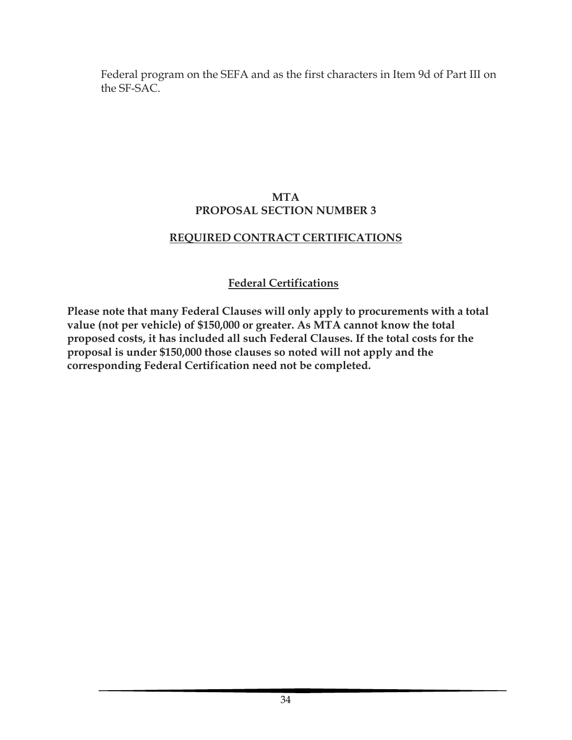Federal program on the SEFA and as the first characters in Item 9d of Part III on the SF-SAC.

#### **MTA PROPOSAL SECTION NUMBER 3**

#### **REQUIRED CONTRACT CERTIFICATIONS**

#### **Federal Certifications**

**Please note that many Federal Clauses will only apply to procurements with a total value (not per vehicle) of \$150,000 or greater. As MTA cannot know the total proposed costs, it has included all such Federal Clauses. If the total costs for the proposal is under \$150,000 those clauses so noted will not apply and the corresponding Federal Certification need not be completed.**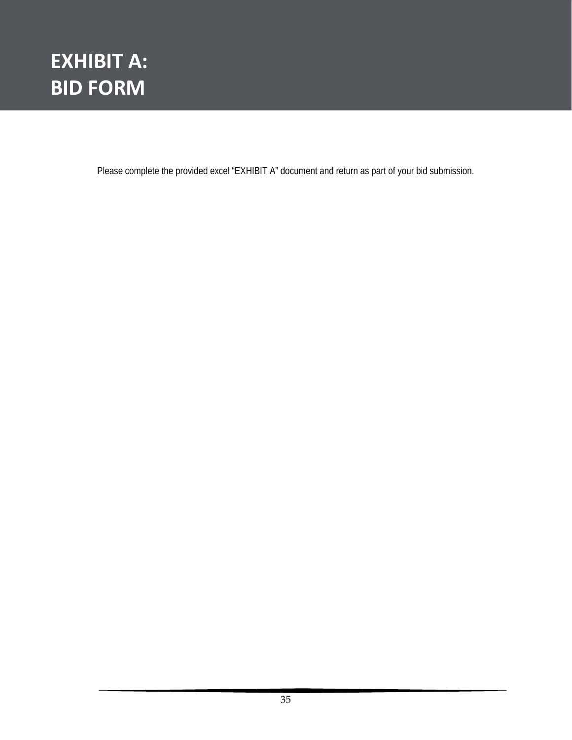

Please complete the provided excel "EXHIBIT A" document and return as part of your bid submission.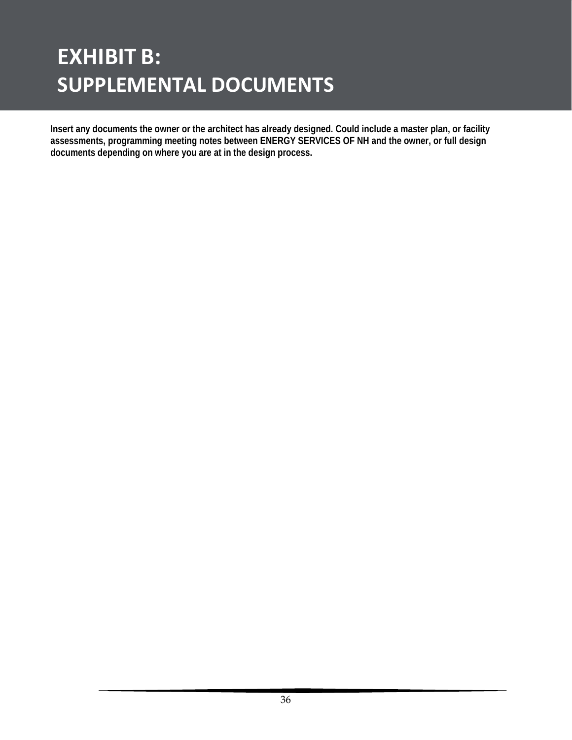# **EXHIBIT B: SUPPLEMENTAL DOCUMENTS**

**Insert any documents the owner or the architect has already designed. Could include a master plan, or facility assessments, programming meeting notes between ENERGY SERVICES OF NH and the owner, or full design documents depending on where you are at in the design process.**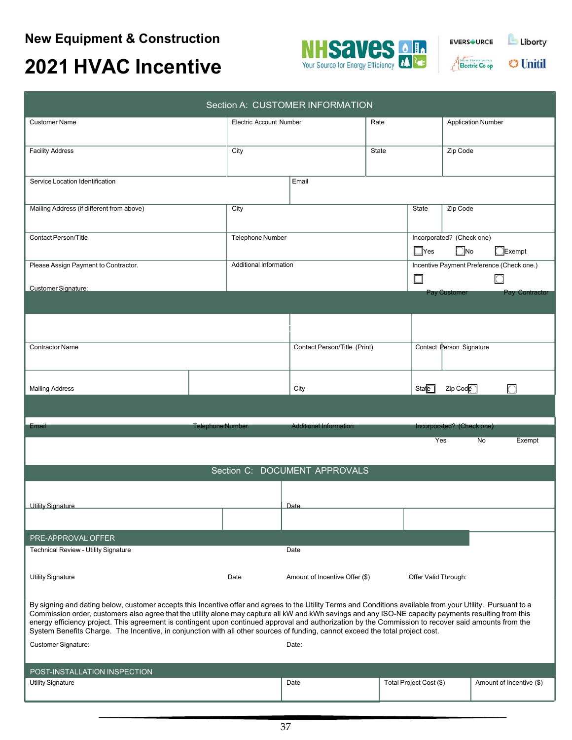### **New Equipment & Construction**

### **2021 HVAC Incentive**





| Section A: CUSTOMER INFORMATION                                                                                                                                                                                                                                                                                                                                                                                                                                                                                                                                                                                 |                                |                                |       |                         |                                                             |                |  |
|-----------------------------------------------------------------------------------------------------------------------------------------------------------------------------------------------------------------------------------------------------------------------------------------------------------------------------------------------------------------------------------------------------------------------------------------------------------------------------------------------------------------------------------------------------------------------------------------------------------------|--------------------------------|--------------------------------|-------|-------------------------|-------------------------------------------------------------|----------------|--|
| <b>Customer Name</b>                                                                                                                                                                                                                                                                                                                                                                                                                                                                                                                                                                                            | <b>Electric Account Number</b> |                                | Rate  |                         | <b>Application Number</b>                                   |                |  |
|                                                                                                                                                                                                                                                                                                                                                                                                                                                                                                                                                                                                                 |                                |                                |       |                         |                                                             |                |  |
| <b>Facility Address</b>                                                                                                                                                                                                                                                                                                                                                                                                                                                                                                                                                                                         | City                           |                                | State |                         | Zip Code                                                    |                |  |
| Service Location Identification                                                                                                                                                                                                                                                                                                                                                                                                                                                                                                                                                                                 |                                | Email                          |       |                         |                                                             |                |  |
|                                                                                                                                                                                                                                                                                                                                                                                                                                                                                                                                                                                                                 |                                |                                |       |                         |                                                             |                |  |
| Mailing Address (if different from above)                                                                                                                                                                                                                                                                                                                                                                                                                                                                                                                                                                       | City                           |                                |       | State                   | Zip Code                                                    |                |  |
|                                                                                                                                                                                                                                                                                                                                                                                                                                                                                                                                                                                                                 |                                |                                |       |                         |                                                             |                |  |
| <b>Contact Person/Title</b>                                                                                                                                                                                                                                                                                                                                                                                                                                                                                                                                                                                     | Telephone Number               |                                |       | $\Box$ Yes              | Incorporated? (Check one)<br>$\bigcirc$ No<br>$\Box$ Exempt |                |  |
| Please Assign Payment to Contractor.                                                                                                                                                                                                                                                                                                                                                                                                                                                                                                                                                                            | Additional Information         |                                |       |                         | Incentive Payment Preference (Check one.)                   |                |  |
|                                                                                                                                                                                                                                                                                                                                                                                                                                                                                                                                                                                                                 |                                |                                |       | $\Box$                  | O                                                           |                |  |
| <b>Customer Signature:</b>                                                                                                                                                                                                                                                                                                                                                                                                                                                                                                                                                                                      |                                |                                |       |                         | <b>Pay Customer</b>                                         | Pay Contractor |  |
|                                                                                                                                                                                                                                                                                                                                                                                                                                                                                                                                                                                                                 |                                |                                |       |                         |                                                             |                |  |
|                                                                                                                                                                                                                                                                                                                                                                                                                                                                                                                                                                                                                 |                                |                                |       |                         |                                                             |                |  |
| <b>Contractor Name</b>                                                                                                                                                                                                                                                                                                                                                                                                                                                                                                                                                                                          |                                | Contact Person/Title (Print)   |       |                         | Contact Person Signature                                    |                |  |
|                                                                                                                                                                                                                                                                                                                                                                                                                                                                                                                                                                                                                 |                                |                                |       |                         |                                                             |                |  |
| <b>Mailing Address</b>                                                                                                                                                                                                                                                                                                                                                                                                                                                                                                                                                                                          |                                | City                           |       | State                   | Zip Code                                                    |                |  |
|                                                                                                                                                                                                                                                                                                                                                                                                                                                                                                                                                                                                                 |                                |                                |       |                         |                                                             |                |  |
| Email                                                                                                                                                                                                                                                                                                                                                                                                                                                                                                                                                                                                           | Telephone Number               | <b>Additional Information</b>  |       |                         | Incorporated? (Check one)                                   |                |  |
|                                                                                                                                                                                                                                                                                                                                                                                                                                                                                                                                                                                                                 |                                |                                |       | Yes                     | No                                                          | Exempt         |  |
|                                                                                                                                                                                                                                                                                                                                                                                                                                                                                                                                                                                                                 |                                |                                |       |                         |                                                             |                |  |
|                                                                                                                                                                                                                                                                                                                                                                                                                                                                                                                                                                                                                 |                                | Section C: DOCUMENT APPROVALS  |       |                         |                                                             |                |  |
|                                                                                                                                                                                                                                                                                                                                                                                                                                                                                                                                                                                                                 |                                |                                |       |                         |                                                             |                |  |
| <b>Utility Signature</b>                                                                                                                                                                                                                                                                                                                                                                                                                                                                                                                                                                                        |                                | Date                           |       |                         |                                                             |                |  |
|                                                                                                                                                                                                                                                                                                                                                                                                                                                                                                                                                                                                                 |                                |                                |       |                         |                                                             |                |  |
| PRE-APPROVAL OFFER                                                                                                                                                                                                                                                                                                                                                                                                                                                                                                                                                                                              |                                |                                |       |                         |                                                             |                |  |
| Technical Review - Utility Signature                                                                                                                                                                                                                                                                                                                                                                                                                                                                                                                                                                            |                                | Date                           |       |                         |                                                             |                |  |
| <b>Utility Signature</b>                                                                                                                                                                                                                                                                                                                                                                                                                                                                                                                                                                                        |                                |                                |       |                         |                                                             |                |  |
|                                                                                                                                                                                                                                                                                                                                                                                                                                                                                                                                                                                                                 |                                |                                |       |                         |                                                             |                |  |
|                                                                                                                                                                                                                                                                                                                                                                                                                                                                                                                                                                                                                 | Date                           | Amount of Incentive Offer (\$) |       | Offer Valid Through:    |                                                             |                |  |
| By signing and dating below, customer accepts this Incentive offer and agrees to the Utility Terms and Conditions available from your Utility. Pursuant to a<br>Commission order, customers also agree that the utility alone may capture all kW and kWh savings and any ISO-NE capacity payments resulting from this<br>energy efficiency project. This agreement is contingent upon continued approval and authorization by the Commission to recover said amounts from the<br>System Benefits Charge. The Incentive, in conjunction with all other sources of funding, cannot exceed the total project cost. |                                |                                |       |                         |                                                             |                |  |
| Customer Signature:                                                                                                                                                                                                                                                                                                                                                                                                                                                                                                                                                                                             |                                | Date:                          |       |                         |                                                             |                |  |
|                                                                                                                                                                                                                                                                                                                                                                                                                                                                                                                                                                                                                 |                                |                                |       |                         |                                                             |                |  |
| POST-INSTALLATION INSPECTION<br><b>Utility Signature</b>                                                                                                                                                                                                                                                                                                                                                                                                                                                                                                                                                        |                                | Date                           |       | Total Project Cost (\$) | Amount of Incentive (\$)                                    |                |  |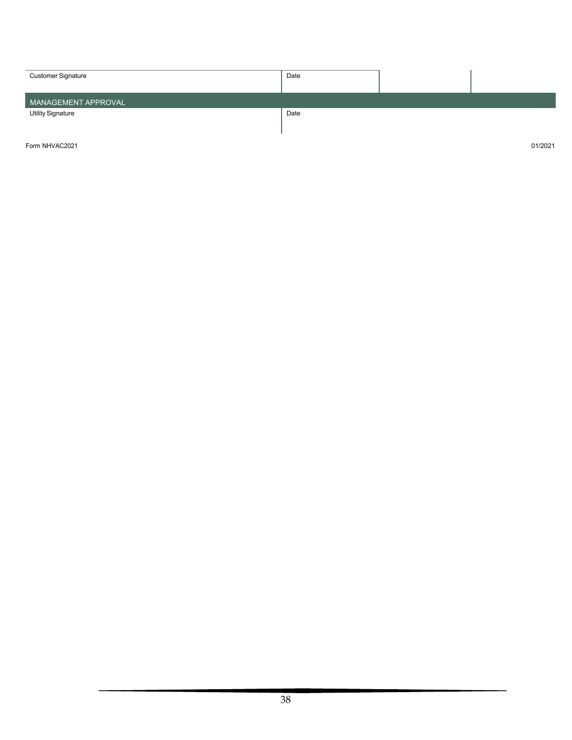| <b>Customer Signature</b> | Date |  |
|---------------------------|------|--|
|                           |      |  |
| MANAGEMENT APPROVAL       |      |  |
| <b>Utility Signature</b>  | Date |  |
|                           |      |  |

Form NHVAC2021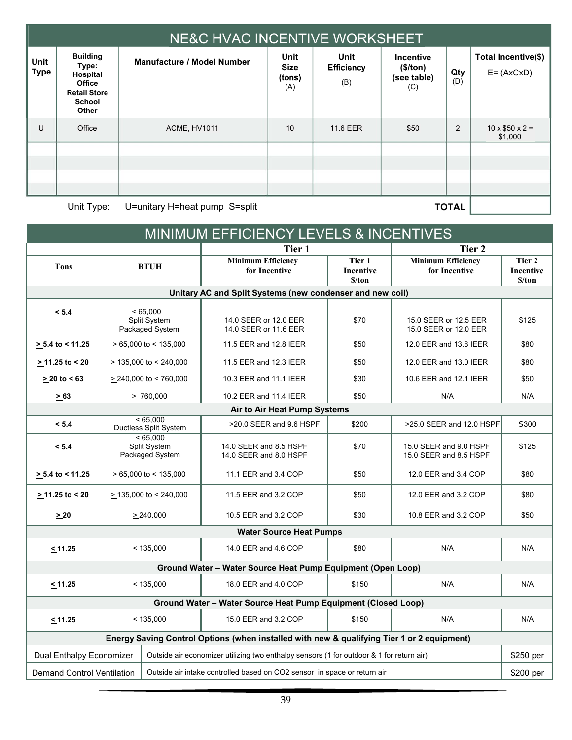| <b>NE&amp;C HVAC INCENTIVE WORKSHEET</b>                    |                                                                                                        |                                   |                                             |                                  |                                                    |                |                                       |  |  |
|-------------------------------------------------------------|--------------------------------------------------------------------------------------------------------|-----------------------------------|---------------------------------------------|----------------------------------|----------------------------------------------------|----------------|---------------------------------------|--|--|
| Unit<br><b>Type</b>                                         | <b>Building</b><br>Type:<br>Hospital<br><b>Office</b><br><b>Retail Store</b><br><b>School</b><br>Other | <b>Manufacture / Model Number</b> | <b>Unit</b><br><b>Size</b><br>(tons)<br>(A) | Unit<br><b>Efficiency</b><br>(B) | <b>Incentive</b><br>(\$/ton)<br>(see table)<br>(C) | Qty<br>(D)     | Total Incentive(\$)<br>$E = (AxCxD)$  |  |  |
| U                                                           | Office<br>ACME, HV1011                                                                                 |                                   | 10                                          | 11.6 EER                         | \$50                                               | $\overline{2}$ | $10 \times $50 \times 2 =$<br>\$1,000 |  |  |
|                                                             |                                                                                                        |                                   |                                             |                                  |                                                    |                |                                       |  |  |
|                                                             |                                                                                                        |                                   |                                             |                                  |                                                    |                |                                       |  |  |
|                                                             |                                                                                                        |                                   |                                             |                                  |                                                    |                |                                       |  |  |
| U=unitary H=heat pump S=split<br><b>TOTAL</b><br>Unit Type: |                                                                                                        |                                   |                                             |                                  |                                                    |                |                                       |  |  |

| MINIMUM EFFICIENCY LEVELS & INCENTIVES |                                             |                                             |                                                                                            |                                      |                                                  |                                      |  |  |
|----------------------------------------|---------------------------------------------|---------------------------------------------|--------------------------------------------------------------------------------------------|--------------------------------------|--------------------------------------------------|--------------------------------------|--|--|
|                                        |                                             |                                             | Tier 1                                                                                     |                                      | Tier 2                                           |                                      |  |  |
| <b>Tons</b>                            |                                             | <b>BTUH</b>                                 | <b>Minimum Efficiency</b><br>for Incentive                                                 | Tier 1<br><b>Incentive</b><br>\$/ton | <b>Minimum Efficiency</b><br>for Incentive       | Tier 2<br><b>Incentive</b><br>\$/ton |  |  |
|                                        |                                             |                                             | Unitary AC and Split Systems (new condenser and new coil)                                  |                                      |                                                  |                                      |  |  |
| < 5.4                                  |                                             | < 65,000<br>Split System<br>Packaged System | 14.0 SEER or 12.0 EER<br>14.0 SEER or 11.6 EER                                             | \$70                                 | 15.0 SEER or 12.5 EER<br>15.0 SEER or 12.0 EER   | \$125                                |  |  |
| $> 5.4$ to < 11.25                     |                                             | $> 65,000$ to < 135,000                     | 11.5 EER and 12.8 IEER                                                                     | \$50                                 | 12.0 EER and 13.8 IEER                           | \$80                                 |  |  |
| $> 11.25$ to < 20                      |                                             | $>$ 135,000 to < 240,000                    | 11.5 EER and 12.3 IEER                                                                     | \$50                                 | 12.0 EER and 13.0 IEER                           | \$80                                 |  |  |
| $> 20$ to < 63                         |                                             | > 240,000 to < 760,000                      | 10.3 EER and 11.1 IEER                                                                     | \$30                                 | 10.6 EER and 12.1 IEER                           | \$50                                 |  |  |
| $\geq 63$                              |                                             | > 760,000                                   | 10.2 EER and 11.4 IEER                                                                     | \$50                                 | N/A                                              | N/A                                  |  |  |
|                                        |                                             |                                             | Air to Air Heat Pump Systems                                                               |                                      |                                                  |                                      |  |  |
| < 5.4                                  |                                             | < 65.000<br><b>Ductless Split System</b>    | >20.0 SEER and 9.6 HSPF                                                                    | \$200                                | >25.0 SEER and 12.0 HSPF                         | \$300                                |  |  |
| < 5.4                                  | < 65.000<br>Split System<br>Packaged System |                                             | 14.0 SEER and 8.5 HSPF<br>14.0 SEER and 8.0 HSPF                                           | \$70                                 | 15.0 SEER and 9.0 HSPF<br>15.0 SEER and 8.5 HSPF | \$125                                |  |  |
| $> 5.4$ to < 11.25                     |                                             | $> 65,000$ to < 135,000                     | 11.1 EER and 3.4 COP                                                                       | \$50                                 | 12.0 EER and 3.4 COP                             | \$80                                 |  |  |
| $> 11.25$ to < 20                      |                                             | $>$ 135,000 to < 240,000                    | 11.5 EER and 3.2 COP                                                                       | \$50                                 | 12.0 EER and 3.2 COP                             | \$80                                 |  |  |
| > 20                                   |                                             | > 240,000                                   | 10.5 EER and 3.2 COP                                                                       | \$30                                 | 10.8 EER and 3.2 COP                             | \$50                                 |  |  |
|                                        |                                             |                                             | <b>Water Source Heat Pumps</b>                                                             |                                      |                                                  |                                      |  |  |
| $\leq$ 11.25                           |                                             | < 135,000                                   | 14.0 EER and 4.6 COP                                                                       | \$80                                 | N/A                                              | N/A                                  |  |  |
|                                        |                                             |                                             | Ground Water - Water Source Heat Pump Equipment (Open Loop)                                |                                      |                                                  |                                      |  |  |
| < 11.25                                |                                             | < 135,000                                   | 18.0 EER and 4.0 COP                                                                       | \$150                                | N/A                                              | N/A                                  |  |  |
|                                        |                                             |                                             | Ground Water - Water Source Heat Pump Equipment (Closed Loop)                              |                                      |                                                  |                                      |  |  |
| $5 - 11.25$                            |                                             | < 135,000                                   | 15.0 EER and 3.2 COP                                                                       | \$150                                | N/A                                              | N/A                                  |  |  |
|                                        |                                             |                                             | Energy Saving Control Options (when installed with new & qualifying Tier 1 or 2 equipment) |                                      |                                                  |                                      |  |  |
| Dual Enthalpy Economizer               |                                             |                                             | Outside air economizer utilizing two enthalpy sensors (1 for outdoor & 1 for return air)   |                                      |                                                  | \$250 per                            |  |  |
| <b>Demand Control Ventilation</b>      |                                             |                                             | Outside air intake controlled based on CO2 sensor in space or return air                   |                                      |                                                  | \$200 per                            |  |  |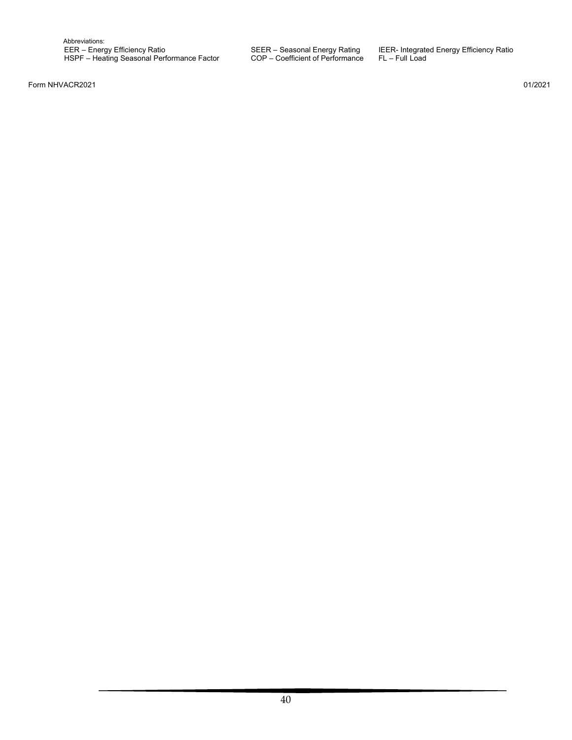Abbreviations: EER – Energy Efficiency Ratio HSPF – Heating Seasonal Performance Factor

SEER – Seasonal Energy Rating COP – Coefficient of Performance IEER- Integrated Energy Efficiency Ratio FL – Full Load

Form NHVACR2021 01/2021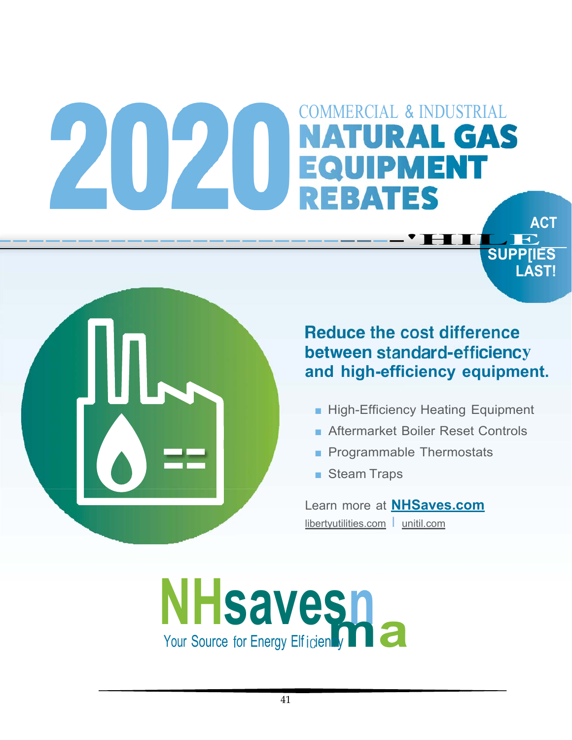# COMMERCIAL & INDUSTRIAL **EQUIPMENT NATURAL GAS** ACT<br>
Production of the second contract of the second contract of the second contract of the second contract of the<br> **Example** cupplies



### **Reduce the cost difference between standard-efficiency and high-efficiency equipment.**

**ACT**

**LAST!**

**SUPP[IES**

- High-Efficiency Heating Equipment
- Aftermarket Boiler Reset Controls
- Programmable Thermostats
- Steam Traps

Learn more at **NHSaves.com** libertyutilities.com I unitil.com

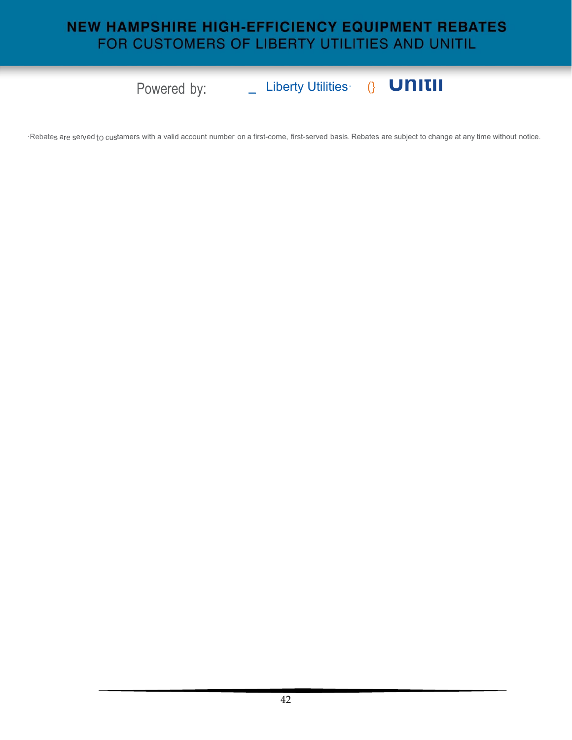### **NEW HAMPSHIRE HIGH-EFFICIENCY EQUIPMENT REBATES** FOR CUSTOMERS OF LIBERTY UTILITIES AND UNITIL

Powered by:  $=$  Liberty Utilities ( **UNITII** 

Rebates are served to custamers with a valid account number on a first-come, first-served basis. Rebates are subject to change at any time without notice.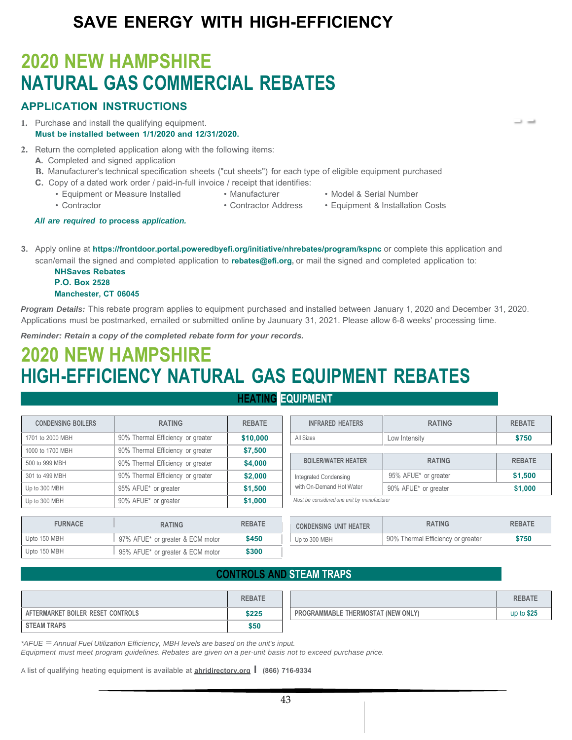### **SAVE ENERGY WITH HIGH-EFFICIENCY**

### **2020 NEW HAMPSHIRE NATURAL GAS COMMERCIAL REBATES**

#### **APPLICATION INSTRUCTIONS**

**1.** Purchase and install the qualifying equipment. **Must be installed between 1/1/2020 and 12/31/2020.**

- **2.** Return the completed application along with the following items:
	- **A.** Completed and signed application
	- **B.** Manufacturer's technical specification sheets ("cut sheets") for each type of eligible equipment purchased
	- **C.** Copy of a dated work order / paid-in-full invoice / receipt that identifies:
		- Equipment or Measure Installed Manufacturer Model & Serial Number
		-
- 
- 
- Contractor Contractor Address Equipment & Installation Costs

----

#### *All are required to* **process** *application.*

**3.** Apply online at **https://frontdoor.portal.poweredbyefi.org/initiative/nhrebates/program/kspnc** or complete this application and scan/email the signed and completed application to **rebates@efi.org,** or mail the signed and completed application to:

**NHSaves Rebates P.O. Box 2528 Manchester, CT 06045**

*Program Details:* This rebate program applies to equipment purchased and installed between January 1, 2020 and December 31, 2020. Applications must be postmarked, emailed or submitted online by Jaunuary 31, 2021. Please allow 6-8 weeks' processing time.

*Reminder: Retain* **a** *copy of the completed rebate form for your records.*

### **2020 NEW HAMPSHIRE HIGH-EFFICIENCY NATURAL GAS EQUIPMENT REBATES**

#### **HEATING EQUIPMENT**

| <b>RATING</b>                     | <b>REBATE</b> | <b>INFRARED HEATERS</b>                     | <b>RATING</b>        | <b>REBATE</b> |  |
|-----------------------------------|---------------|---------------------------------------------|----------------------|---------------|--|
| 90% Thermal Efficiency or greater | \$10,000      | All Sizes                                   | Low Intensity        | \$750         |  |
| 90% Thermal Efficiency or greater | \$7,500       |                                             |                      |               |  |
| 90% Thermal Efficiency or greater | \$4,000       | <b>BOILER/WATER HEATER</b>                  | <b>RATING</b>        | <b>REBATE</b> |  |
| 90% Thermal Efficiency or greater | \$2,000       | Integrated Condensing                       | 95% AFUE* or greater | \$1,500       |  |
| 95% AFUE* or greater              | \$1,500       | with On-Demand Hot Water                    | 90% AFUE* or greater | \$1,000       |  |
| 90% AFUE* or greater              | \$1,000       | Must be considered one unit by manufacturer |                      |               |  |
|                                   |               |                                             |                      |               |  |

| <b>FURNACE</b> | <b>RATING</b>                    | <b>REBATE</b> | <b>CONDENSING UNIT HEATER</b> | <b>RATING</b>                     | <b>REBATE</b> |
|----------------|----------------------------------|---------------|-------------------------------|-----------------------------------|---------------|
| Upto 150 MBH   | 97% AFUE* or greater & ECM motor | \$450         | Up to 300 MBH                 | 90% Thermal Efficiency or greater | \$750         |
| Upto 150 MBH   | 95% AFUE* or greater & ECM motor | \$300         |                               |                                   |               |

#### **CONTROLS AND STEAM TRAPS**

|                                   | <b>REBATE</b> |                                    | <b>REBATE</b> |
|-----------------------------------|---------------|------------------------------------|---------------|
| AFTERMARKET BOILER RESET CONTROLS | \$225         | PROGRAMMABLE THERMOSTAT (NEW ONLY) | up to $$25$   |
| <b>STEAM TRAPS</b>                | \$50          |                                    |               |

*\*AFUE* = *Annual Fuel Utilization Efficiency, MBH levels are based on the unit's input.*

*Equipment must meet program guidelines. Rebates are given on a per-unit basis not to exceed purchase price.*

A list of qualifying heating equipment is available at **ahridirectory.org I (866) 716-9334**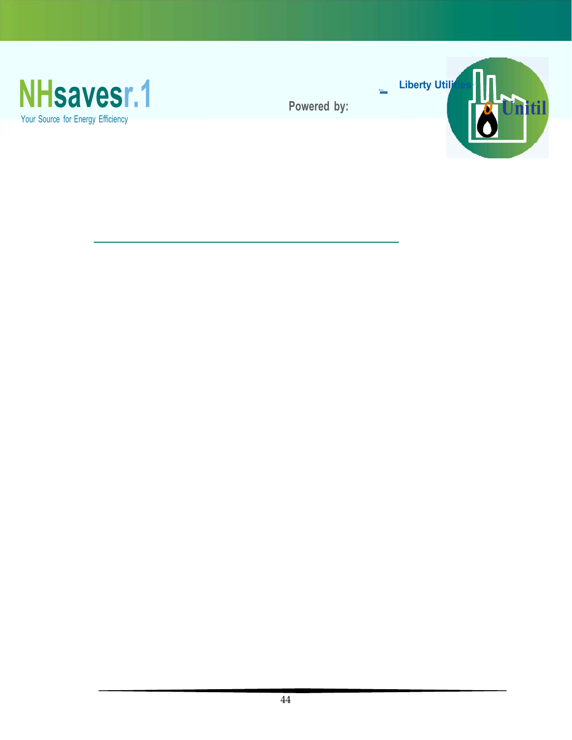

**Powered by:**

 $\mathbb{R}^2$ 

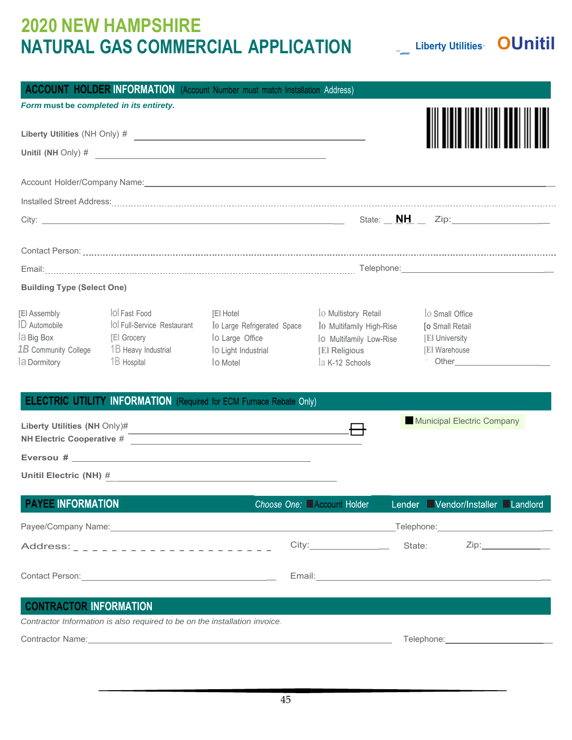### **2020 NEW HAMPSHIRE NATURAL GAS COMMERCIAL APPLICATION Liberty Utilities OUnitil**

|                                                                                                 |                                                                                                                            | <b>ACCOUNT HOLDER INFORMATION</b> (Account Number must match Installation Address)                             |                                                                                                                 |                                                                                                                                                                                                                                                                                                                         |
|-------------------------------------------------------------------------------------------------|----------------------------------------------------------------------------------------------------------------------------|----------------------------------------------------------------------------------------------------------------|-----------------------------------------------------------------------------------------------------------------|-------------------------------------------------------------------------------------------------------------------------------------------------------------------------------------------------------------------------------------------------------------------------------------------------------------------------|
| Form must be completed in its entirety.                                                         |                                                                                                                            |                                                                                                                |                                                                                                                 |                                                                                                                                                                                                                                                                                                                         |
|                                                                                                 |                                                                                                                            | Liberty Utilities (NH Only) $\#$                                                                               |                                                                                                                 |                                                                                                                                                                                                                                                                                                                         |
|                                                                                                 |                                                                                                                            |                                                                                                                |                                                                                                                 |                                                                                                                                                                                                                                                                                                                         |
|                                                                                                 |                                                                                                                            |                                                                                                                |                                                                                                                 |                                                                                                                                                                                                                                                                                                                         |
|                                                                                                 |                                                                                                                            | Account Holder/Company Name: Mannell Account Account Account Holder/Company Name: Management Account Account A |                                                                                                                 |                                                                                                                                                                                                                                                                                                                         |
|                                                                                                 |                                                                                                                            |                                                                                                                |                                                                                                                 |                                                                                                                                                                                                                                                                                                                         |
|                                                                                                 |                                                                                                                            |                                                                                                                |                                                                                                                 |                                                                                                                                                                                                                                                                                                                         |
|                                                                                                 |                                                                                                                            |                                                                                                                |                                                                                                                 |                                                                                                                                                                                                                                                                                                                         |
|                                                                                                 |                                                                                                                            |                                                                                                                |                                                                                                                 |                                                                                                                                                                                                                                                                                                                         |
| <b>Building Type (Select One)</b>                                                               |                                                                                                                            |                                                                                                                |                                                                                                                 |                                                                                                                                                                                                                                                                                                                         |
| [El Assembly<br><b>ID</b> Automobile<br>a Big Box<br><b>1B Community College</b><br>a Dormitory | <b>Iol Fast Food</b><br><b>lol Full-Service Restaurant</b><br>[El Grocery<br>$1\mathrm{B}$ Heavy Industrial<br>1B Hospital | [El Hotel<br>lo Large Refrigerated Space<br><b>lo</b> Large Office<br><b>lo</b> Light Industrial<br>lo Motel   | lo Multistory Retail<br>lo Multifamily High-Rise<br>lo Multifamily Low-Rise<br>[El Religious<br>la K-12 Schools | lo Small Office<br>[o Small Retail<br>[E] University<br><b>IEI</b> Warehouse<br><sup>o</sup> Other and the Other and the Contract of the Contract of the Contract of the Contract of the Contract of the Contract of the Contract of the Contract of the Contract of the Contract of the Contract of the Contract of th |
|                                                                                                 |                                                                                                                            | <b>ELECTRIC UTILITY INFORMATION</b> (Required for ECM Furnace Rebate Only)                                     |                                                                                                                 |                                                                                                                                                                                                                                                                                                                         |
| Liberty Utilities (NH Only)#                                                                    |                                                                                                                            |                                                                                                                |                                                                                                                 | <b>Municipal Electric Company</b>                                                                                                                                                                                                                                                                                       |
|                                                                                                 |                                                                                                                            |                                                                                                                |                                                                                                                 |                                                                                                                                                                                                                                                                                                                         |
|                                                                                                 |                                                                                                                            | Unitil Electric (NH) $\frac{\#}{\#}$                                                                           |                                                                                                                 |                                                                                                                                                                                                                                                                                                                         |
| <b>PAYEE INFORMATION</b>                                                                        |                                                                                                                            |                                                                                                                | Choose One: Account Holder                                                                                      | Lender Vendor/Installer Landlord                                                                                                                                                                                                                                                                                        |
|                                                                                                 |                                                                                                                            |                                                                                                                |                                                                                                                 |                                                                                                                                                                                                                                                                                                                         |
|                                                                                                 |                                                                                                                            |                                                                                                                |                                                                                                                 | Zip:______________                                                                                                                                                                                                                                                                                                      |
|                                                                                                 |                                                                                                                            |                                                                                                                |                                                                                                                 |                                                                                                                                                                                                                                                                                                                         |
| <b>CONTRACTOR INFORMATION</b>                                                                   |                                                                                                                            |                                                                                                                |                                                                                                                 |                                                                                                                                                                                                                                                                                                                         |
|                                                                                                 | Contractor Information is also required to be on the installation invoice.                                                 |                                                                                                                |                                                                                                                 |                                                                                                                                                                                                                                                                                                                         |
|                                                                                                 |                                                                                                                            |                                                                                                                |                                                                                                                 | Telephone: _________________________                                                                                                                                                                                                                                                                                    |
|                                                                                                 |                                                                                                                            |                                                                                                                |                                                                                                                 |                                                                                                                                                                                                                                                                                                                         |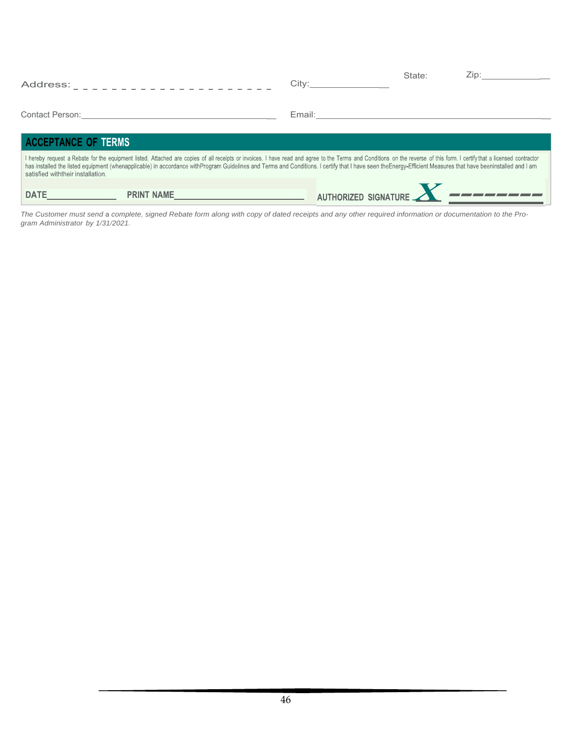| Address: _________________                                                                                                                                                                                                                                                                                                                                                                                                                                                      | City: the contract of the contract of the contract of the contract of the contract of the contract of the contract of the contract of the contract of the contract of the contract of the contract of the contract of the cont | Zip:<br>State: |  |  |  |  |  |  |  |
|---------------------------------------------------------------------------------------------------------------------------------------------------------------------------------------------------------------------------------------------------------------------------------------------------------------------------------------------------------------------------------------------------------------------------------------------------------------------------------|--------------------------------------------------------------------------------------------------------------------------------------------------------------------------------------------------------------------------------|----------------|--|--|--|--|--|--|--|
|                                                                                                                                                                                                                                                                                                                                                                                                                                                                                 |                                                                                                                                                                                                                                |                |  |  |  |  |  |  |  |
| <b>ACCEPTANCE OF TERMS</b>                                                                                                                                                                                                                                                                                                                                                                                                                                                      |                                                                                                                                                                                                                                |                |  |  |  |  |  |  |  |
| I hereby request a Rebate for the equipment listed. Attached are copies of all receipts or invoices. I have read and agree to the Terms and Conditions on the reverse of this form. I certify that a licensed contractor<br>has installed the listed equipment (whenapplicable) in accordance with Program Guidelines and Terms and Conditions. I certify that I have seen the Energy-Efficient Measures that have beeninstalled and I am<br>satisfied with their installation. |                                                                                                                                                                                                                                |                |  |  |  |  |  |  |  |
|                                                                                                                                                                                                                                                                                                                                                                                                                                                                                 |                                                                                                                                                                                                                                |                |  |  |  |  |  |  |  |
| <b>DATE</b><br><b>PRINT NAME</b>                                                                                                                                                                                                                                                                                                                                                                                                                                                | AUTHORIZED SIGNATURE                                                                                                                                                                                                           |                |  |  |  |  |  |  |  |

*The Customer must send* a *complete, signed Rebate form along with copy of dated receipts and any other required information or documentation to the Program Administrator by 1/31/2021.*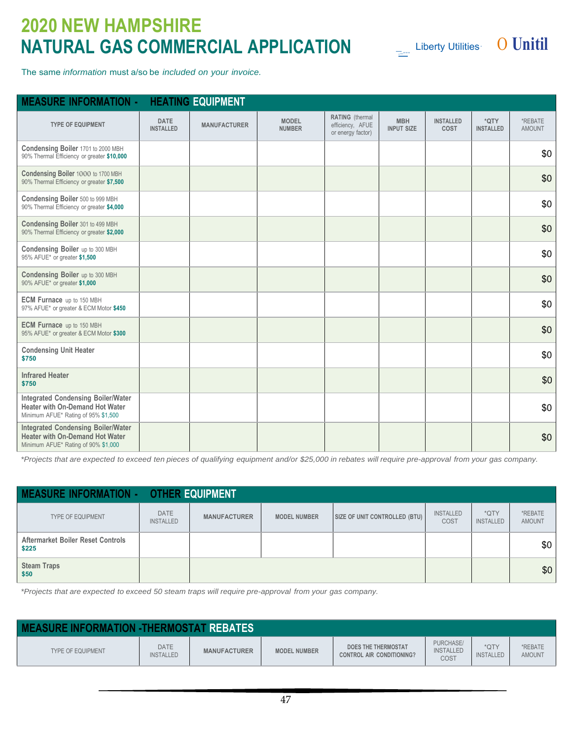### **2020 NEW HAMPSHIRE NATURAL GAS COMMERCIAL APPLICATION**

 $\equiv$  Liberty Utilities  $\quad$  **O**  $\quad$  Unitil

The same *information* must a/so be *included on your invoice.*

| <b>MEASURE INFORMATION -</b>                                                                                               |                                 | <b>HEATING EQUIPMENT</b> |                               |                                                          |                                 |                          |                          |                          |
|----------------------------------------------------------------------------------------------------------------------------|---------------------------------|--------------------------|-------------------------------|----------------------------------------------------------|---------------------------------|--------------------------|--------------------------|--------------------------|
| <b>TYPE OF EQUIPMENT</b>                                                                                                   | <b>DATE</b><br><b>INSTALLED</b> | <b>MANUFACTURER</b>      | <b>MODEL</b><br><b>NUMBER</b> | RATING (thermal<br>efficiency, AFUE<br>or energy factor) | <b>MBH</b><br><b>INPUT SIZE</b> | <b>INSTALLED</b><br>COST | *QTY<br><b>INSTALLED</b> | *REBATE<br><b>AMOUNT</b> |
| Condensing Boiler 1701 to 2000 MBH<br>90% Thermal Efficiency or greater \$10,000                                           |                                 |                          |                               |                                                          |                                 |                          |                          | \$0                      |
| Condensing Boiler 1000 to 1700 MBH<br>90% Thermal Efficiency or greater \$7,500                                            |                                 |                          |                               |                                                          |                                 |                          |                          | \$0                      |
| Condensing Boiler 500 to 999 MBH<br>90% Thermal Efficiency or greater \$4,000                                              |                                 |                          |                               |                                                          |                                 |                          |                          | \$0                      |
| Condensing Boiler 301 to 499 MBH<br>90% Thermal Efficiency or greater \$2,000                                              |                                 |                          |                               |                                                          |                                 |                          |                          | \$0                      |
| Condensing Boiler up to 300 MBH<br>95% AFUE* or greater \$1,500                                                            |                                 |                          |                               |                                                          |                                 |                          |                          | \$0                      |
| Condensing Boiler up to 300 MBH<br>90% AFUE* or greater \$1,000                                                            |                                 |                          |                               |                                                          |                                 |                          |                          | \$0                      |
| ECM Furnace up to 150 MBH<br>97% AFUE* or greater & ECM Motor \$450                                                        |                                 |                          |                               |                                                          |                                 |                          |                          | \$0                      |
| <b>ECM Furnace</b> up to 150 MBH<br>95% AFUE* or greater & ECM Motor \$300                                                 |                                 |                          |                               |                                                          |                                 |                          |                          | \$0                      |
| <b>Condensing Unit Heater</b><br>\$750                                                                                     |                                 |                          |                               |                                                          |                                 |                          |                          | \$0                      |
| <b>Infrared Heater</b><br>\$750                                                                                            |                                 |                          |                               |                                                          |                                 |                          |                          | \$0                      |
| <b>Integrated Condensing Boiler/Water</b><br><b>Heater with On-Demand Hot Water</b><br>Minimum AFUE* Rating of 95% \$1,500 |                                 |                          |                               |                                                          |                                 |                          |                          | \$0                      |
| <b>Integrated Condensing Boiler/Water</b><br><b>Heater with On-Demand Hot Water</b><br>Minimum AFUE* Rating of 90% \$1,000 |                                 |                          |                               |                                                          |                                 |                          |                          | \$0                      |

*\*Projects that are expected to exceed ten pieces of qualifying equipment and/or \$25,000 in rebates will require pre-approval from your gas company.*

| <b>MEASURE INFORMATION - OTHER EQUIPMENT</b> |                                 |                     |                     |                               |                          |                          |                          |
|----------------------------------------------|---------------------------------|---------------------|---------------------|-------------------------------|--------------------------|--------------------------|--------------------------|
| <b>TYPE OF EQUIPMENT</b>                     | <b>DATE</b><br><b>INSTALLED</b> | <b>MANUFACTURER</b> | <b>MODEL NUMBER</b> | SIZE OF UNIT CONTROLLED (BTU) | <b>INSTALLED</b><br>COST | *QTY<br><b>INSTALLED</b> | *REBATE<br><b>AMOUNT</b> |
| Aftermarket Boiler Reset Controls<br>\$225   |                                 |                     |                     |                               |                          |                          | \$0                      |
| <b>Steam Traps</b><br>\$50                   |                                 |                     |                     |                               |                          |                          | \$0                      |

*\*Projects that are expected to exceed 50 steam traps will require pre-approval from your gas company.*

| <b>MEASURE INFORMATION -THERMOSTAT REBATES</b> |                                 |                     |                     |                                                                |                                       |                          |                          |
|------------------------------------------------|---------------------------------|---------------------|---------------------|----------------------------------------------------------------|---------------------------------------|--------------------------|--------------------------|
| <b>TYPE OF EQUIPMENT</b>                       | <b>DATE</b><br><b>INSTALLED</b> | <b>MANUFACTURER</b> | <b>MODEL NUMBER</b> | <b>DOES THE THERMOSTAT</b><br><b>CONTROL AIR CONDITIONING?</b> | PURCHASE/<br><b>INSTALLED</b><br>COST | *QTY<br><b>INSTALLED</b> | *REBATE<br><b>AMOUNT</b> |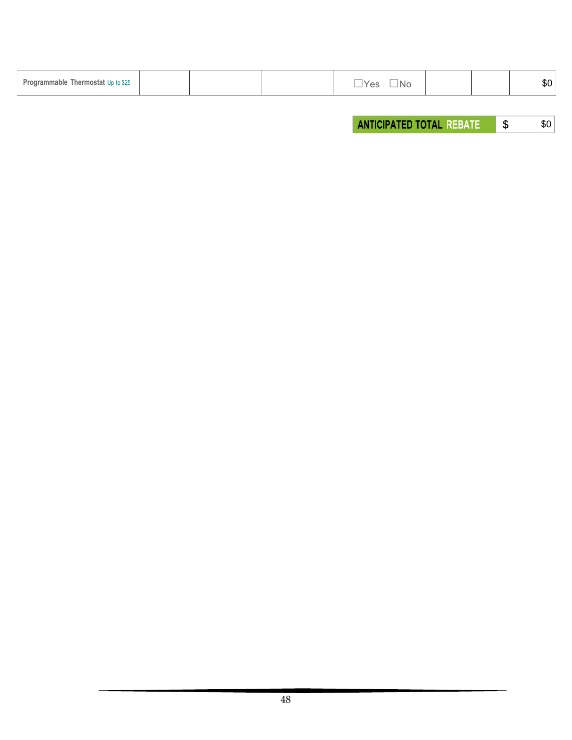| √ՕՆ |
|-----|
|-----|

**ANTICIPATED TOTAL REBATE**  $\boldsymbol{\$}$ \$0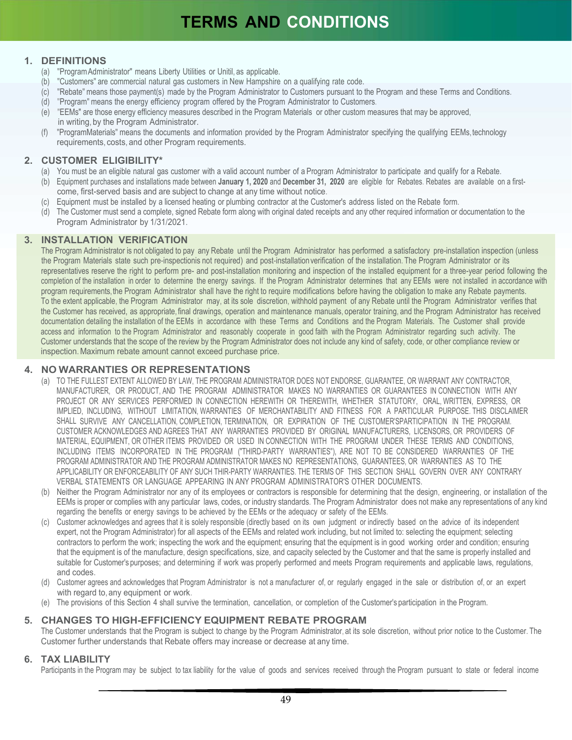### **TERMS AND CONDITIONS**

#### **1. DEFINITIONS**

- (a) "Program Administrator" means Liberty Utilities or Unitil, as applicable.
- (b) "Customers" are commercial natural gas customers in New Hampshire on a qualifying rate code.
- (c) "Rebate" means those payment(s) made by the Program Administrator to Customers pursuant to the Program and these Terms and Conditions.
- (d) "Program" means the energy efficiency program offered by the Program Administrator to Customers.
- (e) "EEMs" are those energy efficiency measures described in the Program Materials or other custom measures that may be approved, in writing, by the Program Administrator.
- (f) "ProgramMaterials" means the documents and information provided by the Program Administrator specifying the qualifying EEMs, technology requirements, costs, and other Program requirements.

#### **2. CUSTOMER ELIGIBILITY\***

- (a) You must be an eligible natural gas customer with a valid account number of a Program Administrator to participate and qualify for a Rebate.
- (b) Equipment purchases and installations made between **January 1, 2020** and **December 31, 2020** are eligible for Rebates. Rebates are available on a firstcome, first-served basis and are subject to change at any time without notice.
- (c) Equipment must be installed by a licensed heating or plumbing contractor at the Customer's address listed on the Rebate form.
- (d) The Customer must send a complete, signed Rebate form along with original dated receipts and any other required information or documentation to the Program Administrator by 1/31/2021.

#### **3. INSTALLATION VERIFICATION**

The Program Administrator is not obligated to pay any Rebate until the Program Administrator has performed a satisfactory pre-installation inspection (unless the Program Materials state such pre-inspectionis not required) and post-installation verification of the installation. The Program Administrator or its representatives reserve the right to perform pre- and post-installation monitoring and inspection of the installed equipment for a three-year period following the completion of the installation in order to determine the energy savings. If the Program Administrator determines that any EEMs were not installed in accordance with program requirements, the Program Administrator shall have the right to require modifications before having the obligation to make any Rebate payments. To the extent applicable, the Program Administrator may, at its sole discretion, withhold payment of any Rebate until the Program Administrator verifies that the Customer has received, as appropriate, final drawings, operation and maintenance manuals, operator training, and the Program Administrator has received documentation detailing the installation of the EEMs in accordance with these Terms and Conditions and the Program Materials. The Customer shall provide access and information to the Program Administrator and reasonably cooperate in good faith with the Program Administrator regarding such activity. The Customer understands that the scope of the review by the Program Administrator does not include any kind of safety, code, or other compliance review or inspection. Maximum rebate amount cannot exceed purchase price.

#### **4. NO WARRANTIES OR REPRESENTATIONS**

- (a) TO THE FULLEST EXTENT ALLOWED BY LAW, THE PROGRAM ADMINISTRATOR DOES NOT ENDORSE, GUARANTEE, OR WARRANT ANY CONTRACTOR, MANUFACTURER, OR PRODUCT, AND THE PROGRAM ADMINISTRATOR MAKES NO WARRANTIES OR GUARANTEES IN CONNECTION WITH ANY PROJECT OR ANY SERVICES PERFORMED IN CONNECTION HEREWITH OR THEREWITH, WHETHER STATUTORY, ORAL, WRITTEN, EXPRESS, OR IMPLIED, INCLUDING, WITHOUT LIMITATION, WARRANTIES OF MERCHANTABILITY AND FITNESS FOR A PARTICULAR PURPOSE. THIS DISCLAIMER SHALL SURVIVE ANY CANCELLATION, COMPLETION, TERMINATION, OR EXPIRATION OF THE CUSTOMER'SPARTICIPATION IN THE PROGRAM. CUSTOMER ACKNOWLEDGES AND AGREES THAT ANY WARRANTIES PROVIDED BY ORIGINAL MANUFACTURERS, LICENSORS, OR PROVIDERS OF MATERIAL, EQUIPMENT, OR OTHER ITEMS PROVIDED OR USED IN CONNECTION WITH THE PROGRAM UNDER THESE TERMS AND CONDITIONS, INCLUDING ITEMS INCORPORATED IN THE PROGRAM ("THIRD-PARTY WARRANTIES"), ARE NOT TO BE CONSIDERED WARRANTIES OF THE PROGRAM ADMINISTRATOR AND THE PROGRAM ADMINISTRATOR MAKES NO REPRESENTATIONS, GUARANTEES, OR WARRANTIES AS TO THE APPLICABILITY OR ENFORCEABILITY OF ANY SUCH THIR-PARTY WARRANTIES. THE TERMS OF THIS SECTION SHALL GOVERN OVER ANY CONTRARY VERBAL STATEMENTS OR LANGUAGE APPEARING IN ANY PROGRAM ADMINISTRATOR'S OTHER DOCUMENTS.
- (b) Neither the Program Administrator nor any of its employees or contractors is responsible for determining that the design, engineering, or installation of the EEMs is proper or complies with any particular laws, codes, or industry standards. The Program Administrator does not make any representations of any kind regarding the benefits or energy savings to be achieved by the EEMs or the adequacy or safety of the EEMs.
- (c) Customer acknowledges and agrees that it is solely responsible (directly based on its own judgment or indirectly based on the advice of its independent expert, not the Program Administrator) for all aspects of the EEMs and related work including, but not limited to: selecting the equipment; selecting contractors to perform the work; inspecting the work and the equipment; ensuring that the equipment is in good working order and condition; ensuring that the equipment is of the manufacture, design specifications, size, and capacity selected by the Customer and that the same is properly installed and suitable for Customer's purposes; and determining if work was properly performed and meets Program requirements and applicable laws, regulations, and codes.
- (d) Customer agrees and acknowledges that Program Administrator is not a manufacturer of, or regularly engaged in the sale or distribution of, or an expert with regard to, any equipment or work.
- (e) The provisions of this Section 4 shall survive the termination, cancellation, or completion of the Customer's participation in the Program.

#### **5. CHANGES TO HIGH-EFFICIENCY EQUIPMENT REBATE PROGRAM**

The Customer understands that the Program is subject to change by the Program Administrator, at its sole discretion, without prior notice to the Customer. The Customer further understands that Rebate offers may increase or decrease at any time.

#### **6. TAX LIABILITY**

Participants in the Program may be subject to tax liability for the value of goods and services received through the Program pursuant to state or federal income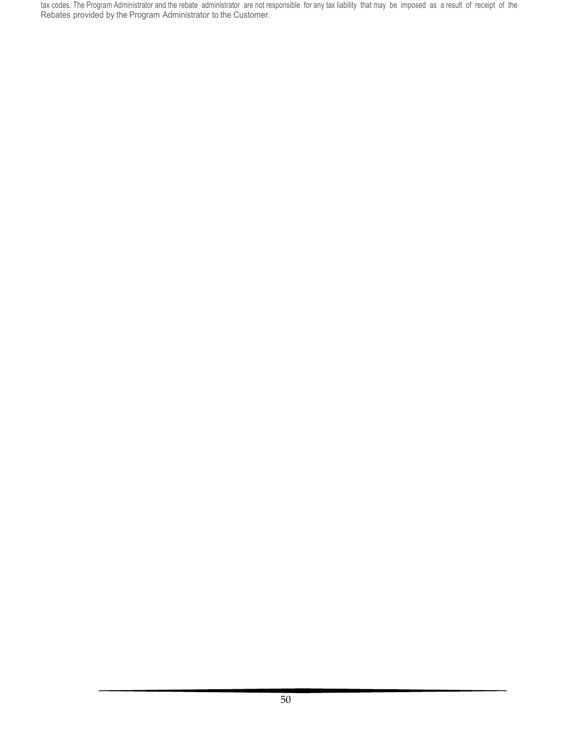tax codes. The Program Administrator and the rebate administrator are not responsible for any tax liability that may be imposed as a result of receipt of the Rebates provided by the Program Administrator to the Customer.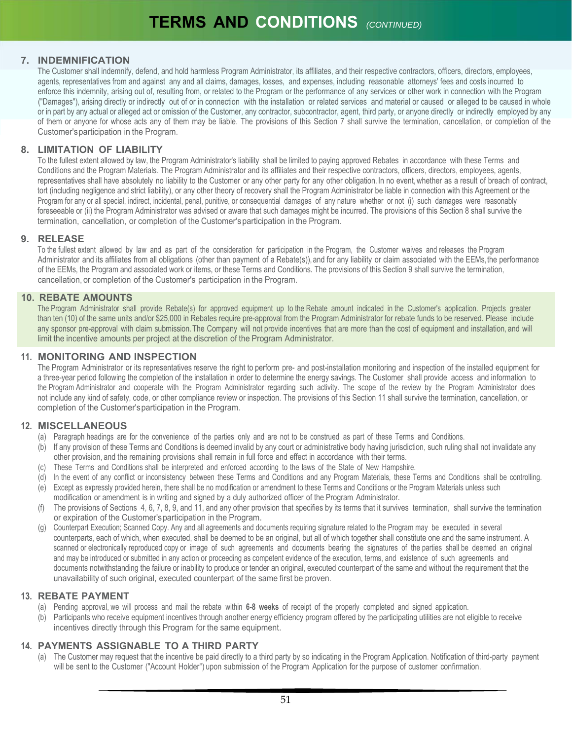#### **7. INDEMNIFICATION**

The Customer shall indemnify, defend, and hold harmless Program Administrator, its affiliates, and their respective contractors, officers, directors, employees, agents, representatives from and against any and all claims, damages, losses, and expenses, including reasonable attorneys' fees and costs incurred to enforce this indemnity, arising out of, resulting from, or related to the Program or the performance of any services or other work in connection with the Program ("Damages"), arising directly or indirectly out of or in connection with the installation or related services and material or caused or alleged to be caused in whole or in part by any actual or alleged act or omission of the Customer, any contractor, subcontractor, agent, third party, or anyone directly or indirectly employed by any of them or anyone for whose acts any of them may be liable. The provisions of this Section 7 shall survive the termination, cancellation, or completion of the Customer's participation in the Program.

#### **8. LIMITATION OF LIABILITY**

To the fullest extent allowed by law, the Program Administrator's liability shall be limited to paying approved Rebates in accordance with these Terms and Conditions and the Program Materials. The Program Administrator and its affiliates and their respective contractors, officers, directors, employees, agents, representatives shall have absolutely no liability to the Customer or any other party for any other obligation. In no event, whether as a result of breach of contract, tort (including negligence and strict liability), or any other theory of recovery shall the Program Administrator be liable in connection with this Agreement or the Program for any or all special, indirect, incidental, penal, punitive, or consequential damages of any nature whether or not (i) such damages were reasonably foreseeable or (ii) the Program Administrator was advised or aware that such damages might be incurred. The provisions of this Section 8 shall survive the termination, cancellation, or completion of the Customer's participation in the Program.

#### **9. RELEASE**

To the fullest extent allowed by law and as part of the consideration for participation in the Program, the Customer waives and releases the Program Administrator and its affiliates from all obligations (other than payment of a Rebate(s)), and for any liability or claim associated with the EEMs, the performance of the EEMs, the Program and associated work or items, or these Terms and Conditions. The provisions of this Section 9 shall survive the termination, cancellation, or completion of the Customer's participation in the Program.

#### **10. REBATE AMOUNTS**

The Program Administrator shall provide Rebate(s) for approved equipment up to the Rebate amount indicated in the Customer's application. Projects greater than ten (10) of the same units and/or \$25,000 in Rebates require pre-approval from the Program Administrator for rebate funds to be reserved. Please include any sponsor pre-approval with claim submission. The Company will not provide incentives that are more than the cost of equipment and installation, and will limit the incentive amounts per project at the discretion of the Program Administrator.

#### **11. MONITORING AND INSPECTION**

The Program Administrator or its representatives reserve the right to perform pre- and post-installation monitoring and inspection of the installed equipment for a three-year period following the completion of the installation in order to determine the energy savings. The Customer shall provide access and information to the Program Administrator and cooperate with the Program Administrator regarding such activity. The scope of the review by the Program Administrator does not include any kind of safety, code, or other compliance review or inspection. The provisions of this Section 11 shall survive the termination, cancellation, or completion of the Customer's participation in the Program.

#### **12. MISCELLANEOUS**

- (a) Paragraph headings are for the convenience of the parties only and are not to be construed as part of these Terms and Conditions.
- (b) If any provision of these Terms and Conditions is deemed invalid by any court or administrative body having jurisdiction, such ruling shall not invalidate any other provision, and the remaining provisions shall remain in full force and effect in accordance with their terms.
- (c) These Terms and Conditions shall be interpreted and enforced according to the laws of the State of New Hampshire.
- (d) In the event of any conflict or inconsistency between these Terms and Conditions and any Program Materials, these Terms and Conditions shall be controlling.
- (e) Except as expressly provided herein, there shall be no modification or amendment to these Terms and Conditions or the Program Materials unless such modification or amendment is in writing and signed by a duly authorized officer of the Program Administrator.
- The provisions of Sections 4, 6, 7, 8, 9, and 11, and any other provision that specifies by its terms that it survives termination, shall survive the termination or expiration of the Customer's participation in the Program.
- (g) Counterpart Execution; Scanned Copy. Any and all agreements and documents requiring signature related to the Program may be executed in several counterparts, each of which, when executed, shall be deemed to be an original, but all of which together shall constitute one and the same instrument. A scanned or electronically reproduced copy or image of such agreements and documents bearing the signatures of the parties shall be deemed an original and may be introduced or submitted in any action or proceeding as competent evidence of the execution, terms, and existence of such agreements and documents notwithstanding the failure or inability to produce or tender an original, executed counterpart of the same and without the requirement that the unavailability of such original, executed counterpart of the same first be proven.

#### **13. REBATE PAYMENT**

- (a) Pending approval, we will process and mail the rebate within **6-8 weeks** of receipt of the properly completed and signed application.
- (b) Participants who receive equipment incentives through another energy efficiency program offered by the participating utilities are not eligible to receive incentives directly through this Program for the same equipment.

#### **14. PAYMENTS ASSIGNABLE TO A THIRD PARTY**

(a) The Customer may request that the incentive be paid directly to a third party by so indicating in the Program Application. Notification of third-party payment will be sent to the Customer ("Account Holder") upon submission of the Program Application for the purpose of customer confirmation.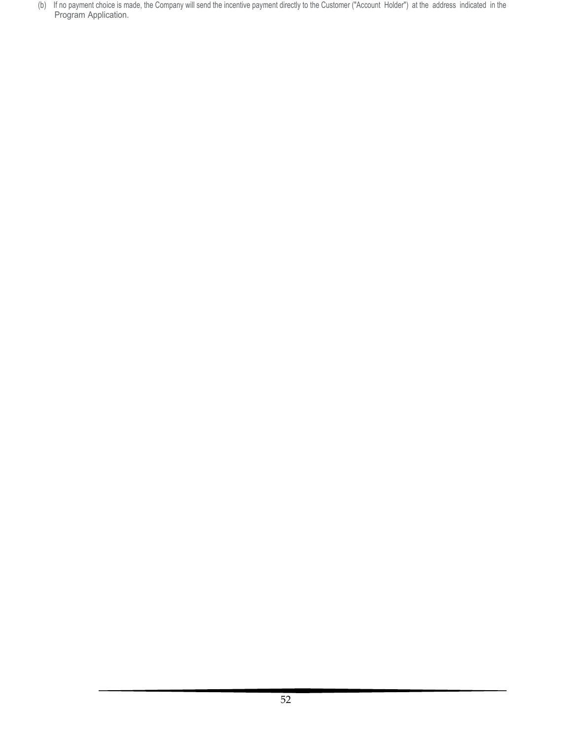(b) If no payment choice is made, the Company will send the incentive payment directly to the Customer ("Account Holder") at the address indicated in the Program Application.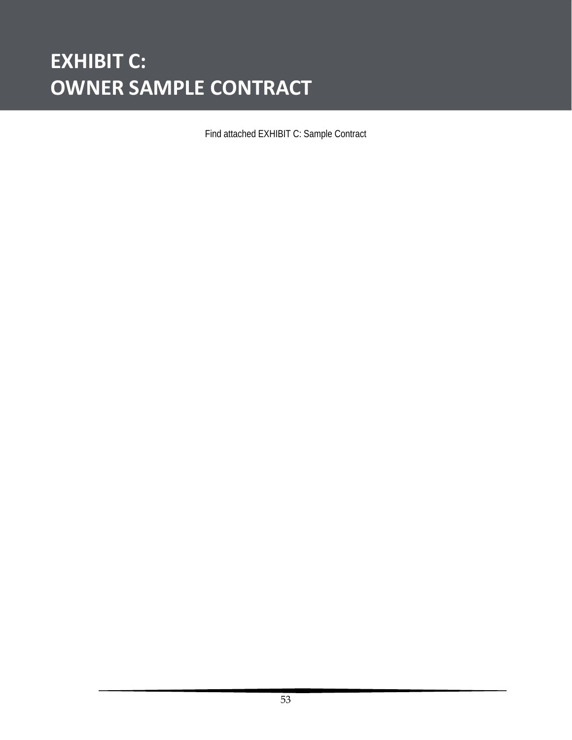### **EXHIBIT C: OWNER SAMPLE CONTRACT**

Find attached EXHIBIT C: Sample Contract